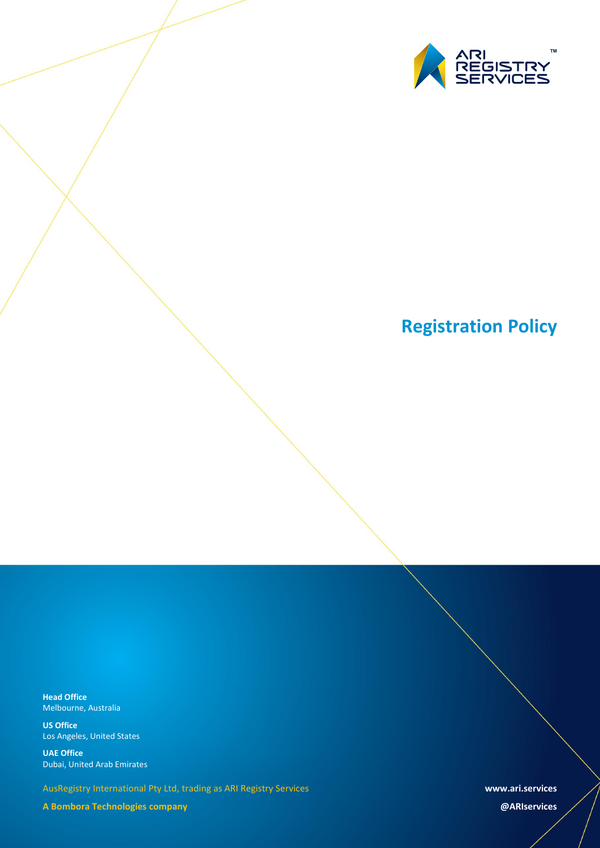

# **Registration Policy**

**Head Office** Melbourne, Australia

**US Office** Los Angeles, United States

**UAE Office** Dubai, United Arab Emirates

AusRegistry International Pty Ltd, trading as ARI Registry Services

**A Bombora Technologies company**

**www.ari.services**

**@ARIservices**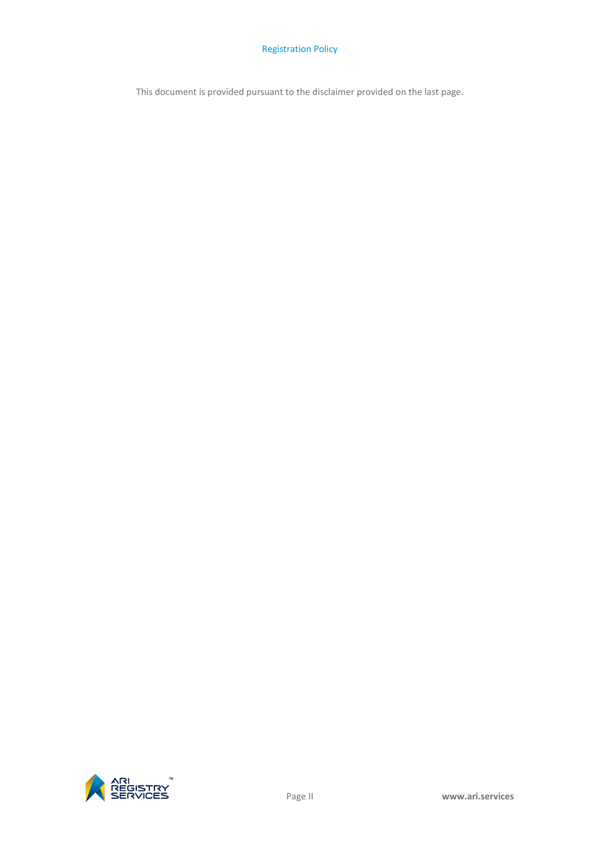This document is provided pursuant to the disclaimer provided on the last page.

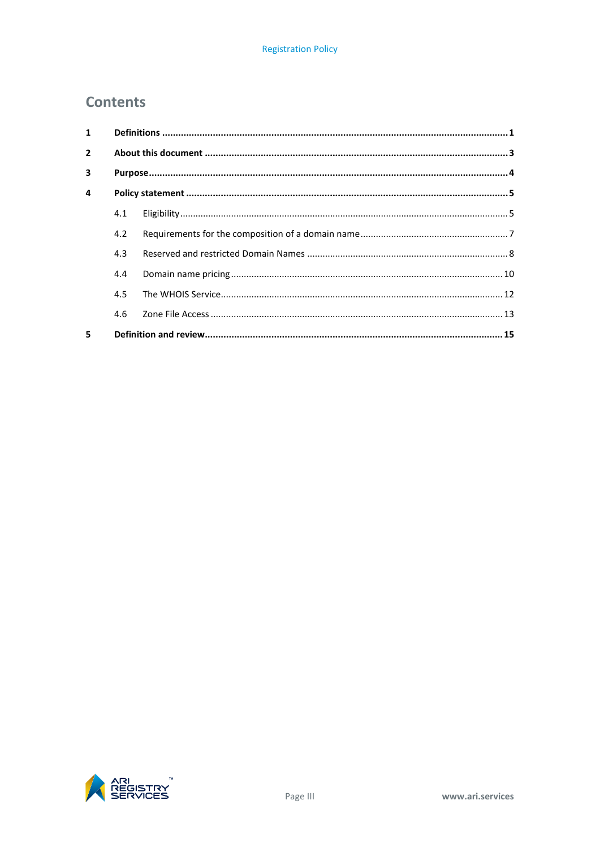# **Contents**

| $\mathbf{1}$   |     |  |  |
|----------------|-----|--|--|
| $\overline{2}$ |     |  |  |
| 3              |     |  |  |
| $\overline{a}$ |     |  |  |
|                | 4.1 |  |  |
|                | 4.2 |  |  |
|                | 4.3 |  |  |
|                | 4.4 |  |  |
|                | 4.5 |  |  |
|                | 4.6 |  |  |
| 5.             |     |  |  |

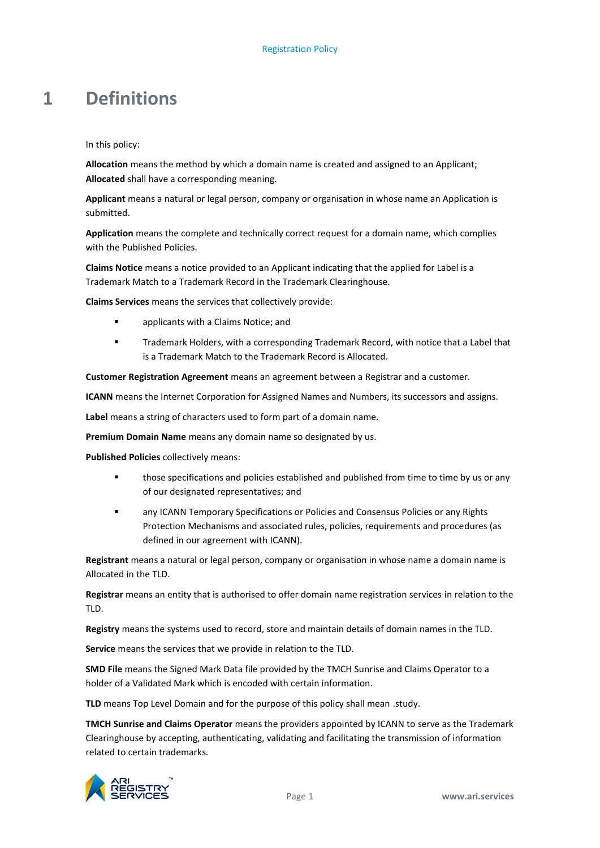# <span id="page-4-0"></span>**1 Definitions**

In this policy:

**Allocation** means the method by which a domain name is created and assigned to an Applicant; **Allocated** shall have a corresponding meaning.

**Applicant** means a natural or legal person, company or organisation in whose name an Application is submitted.

**Application** means the complete and technically correct request for a domain name, which complies with the Published Policies.

**Claims Notice** means a notice provided to an Applicant indicating that the applied for Label is a Trademark Match to a Trademark Record in the Trademark Clearinghouse.

**Claims Services** means the services that collectively provide:

- **applicants with a Claims Notice; and**
- Trademark Holders, with a corresponding Trademark Record, with notice that a Label that is a Trademark Match to the Trademark Record is Allocated.

**Customer Registration Agreement** means an agreement between a Registrar and a customer.

**ICANN** means the Internet Corporation for Assigned Names and Numbers, its successors and assigns.

**Label** means a string of characters used to form part of a domain name.

**Premium Domain Name** means any domain name so designated by us.

**Published Policies** collectively means:

- **those specifications and policies established and published from time to time by us or any** of our designated representatives; and
- **EXECT** any ICANN Temporary Specifications or Policies and Consensus Policies or any Rights Protection Mechanisms and associated rules, policies, requirements and procedures (as defined in our agreement with ICANN).

**Registrant** means a natural or legal person, company or organisation in whose name a domain name is Allocated in the TLD.

**Registrar** means an entity that is authorised to offer domain name registration services in relation to the TLD.

**Registry** means the systems used to record, store and maintain details of domain names in the TLD.

**Service** means the services that we provide in relation to the TLD.

**SMD File** means the Signed Mark Data file provided by the TMCH Sunrise and Claims Operator to a holder of a Validated Mark which is encoded with certain information.

TLD means Top Level Domain and for the purpose of this policy shall mean .study.

**TMCH Sunrise and Claims Operator** means the providers appointed by ICANN to serve as the Trademark Clearinghouse by accepting, authenticating, validating and facilitating the transmission of information related to certain trademarks.

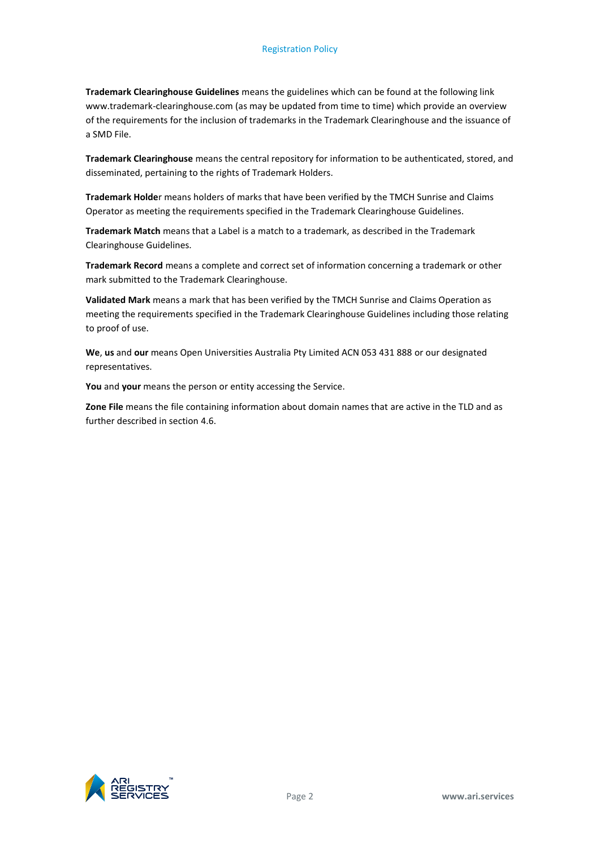**Trademark Clearinghouse Guidelines** means the guidelines which can be found at the following link www.trademark-clearinghouse.com (as may be updated from time to time) which provide an overview of the requirements for the inclusion of trademarks in the Trademark Clearinghouse and the issuance of a SMD File.

**Trademark Clearinghouse** means the central repository for information to be authenticated, stored, and disseminated, pertaining to the rights of Trademark Holders.

**Trademark Holde**r means holders of marks that have been verified by the TMCH Sunrise and Claims Operator as meeting the requirements specified in the Trademark Clearinghouse Guidelines.

**Trademark Match** means that a Label is a match to a trademark, as described in the Trademark Clearinghouse Guidelines.

**Trademark Record** means a complete and correct set of information concerning a trademark or other mark submitted to the Trademark Clearinghouse.

**Validated Mark** means a mark that has been verified by the TMCH Sunrise and Claims Operation as meeting the requirements specified in the Trademark Clearinghouse Guidelines including those relating to proof of use.

**We**, **us** and **our** means Open Universities Australia Pty Limited ACN 053 431 888 or our designated representatives.

**You** and **your** means the person or entity accessing the Service.

**Zone File** means the file containing information about domain names that are active in the TLD and as further described in sectio[n 4.6.](#page-16-0)

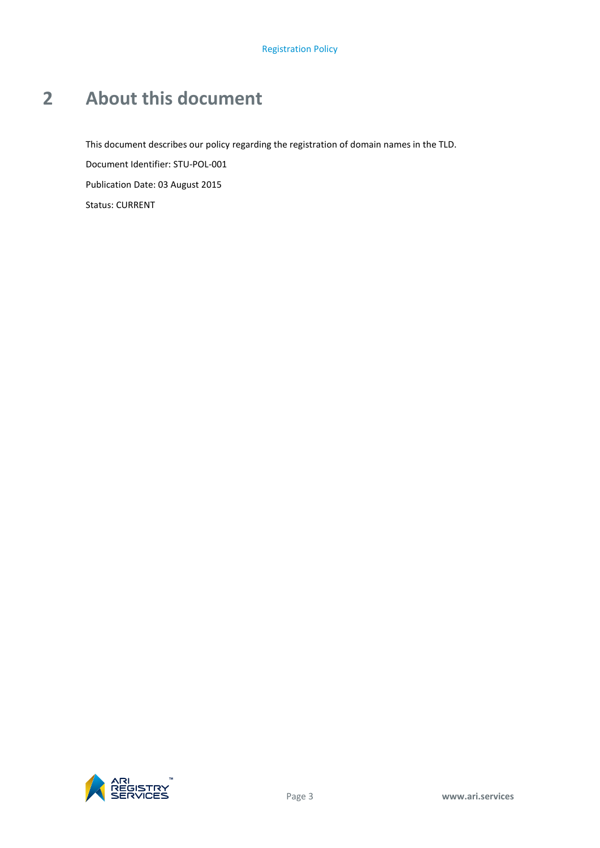# <span id="page-6-0"></span>**2 About this document**

This document describes our policy regarding the registration of domain names in the TLD. Document Identifier: STU-POL-001 Publication Date: 03 August 2015 Status: CURRENT

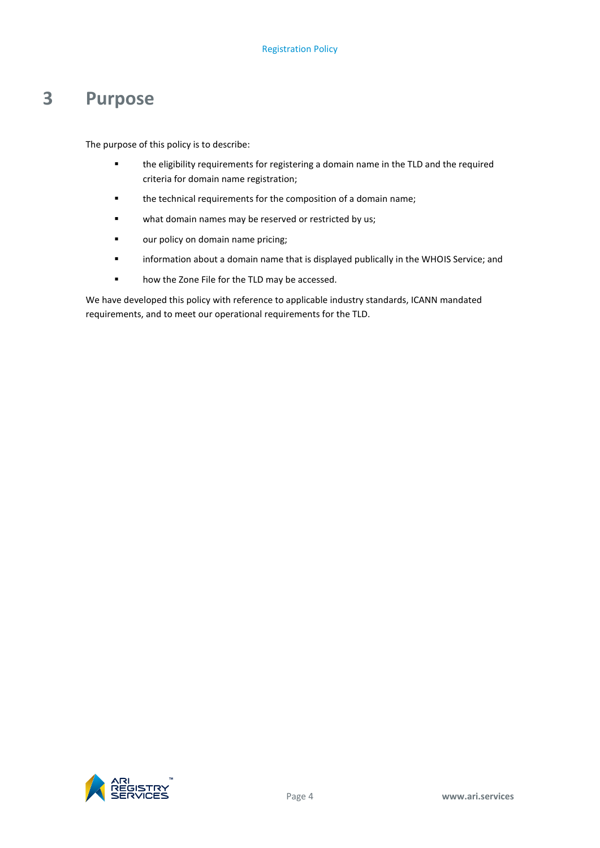# <span id="page-7-0"></span>**3 Purpose**

The purpose of this policy is to describe:

- the eligibility requirements for registering a domain name in the TLD and the required criteria for domain name registration;
- the technical requirements for the composition of a domain name;
- **u** what domain names may be reserved or restricted by us;
- **•** our policy on domain name pricing;
- information about a domain name that is displayed publically in the WHOIS Service; and
- **•** how the Zone File for the TLD may be accessed.

We have developed this policy with reference to applicable industry standards, ICANN mandated requirements, and to meet our operational requirements for the TLD.

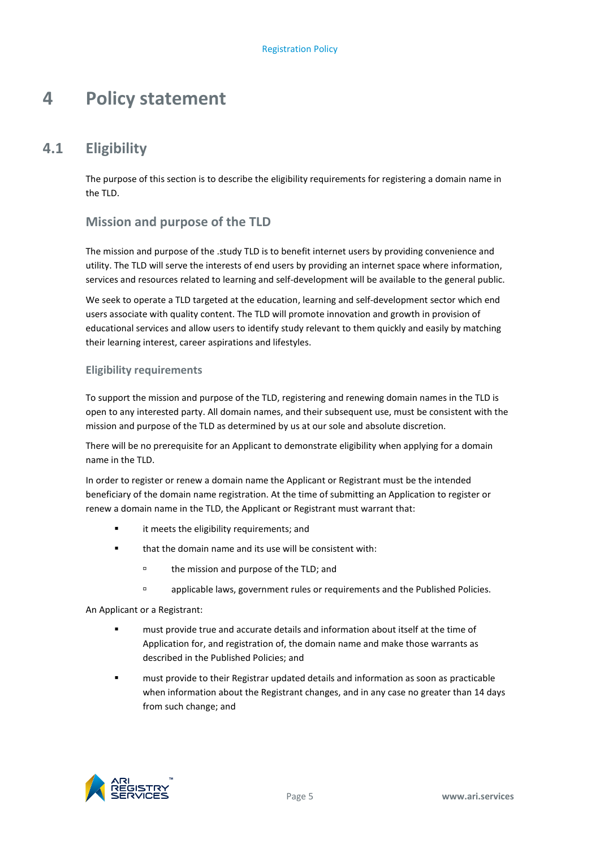# <span id="page-8-0"></span>**4 Policy statement**

# **4.1 Eligibility**

<span id="page-8-1"></span>The purpose of this section is to describe the eligibility requirements for registering a domain name in the TLD.

# **Mission and purpose of the TLD**

The mission and purpose of the .study TLD is to benefit internet users by providing convenience and utility. The TLD will serve the interests of end users by providing an internet space where information, services and resources related to learning and self-development will be available to the general public.

We seek to operate a TLD targeted at the education, learning and self-development sector which end users associate with quality content. The TLD will promote innovation and growth in provision of educational services and allow users to identify study relevant to them quickly and easily by matching their learning interest, career aspirations and lifestyles.

### **Eligibility requirements**

To support the mission and purpose of the TLD, registering and renewing domain names in the TLD is open to any interested party. All domain names, and their subsequent use, must be consistent with the mission and purpose of the TLD as determined by us at our sole and absolute discretion.

There will be no prerequisite for an Applicant to demonstrate eligibility when applying for a domain name in the TLD.

In order to register or renew a domain name the Applicant or Registrant must be the intended beneficiary of the domain name registration. At the time of submitting an Application to register or renew a domain name in the TLD, the Applicant or Registrant must warrant that:

- **Example 1** it meets the eligibility requirements; and
- that the domain name and its use will be consistent with:
	- <sup>o</sup> the mission and purpose of the TLD; and
	- applicable laws, government rules or requirements and the Published Policies.

An Applicant or a Registrant:

- must provide true and accurate details and information about itself at the time of Application for, and registration of, the domain name and make those warrants as described in the Published Policies; and
- must provide to their Registrar updated details and information as soon as practicable when information about the Registrant changes, and in any case no greater than 14 days from such change; and

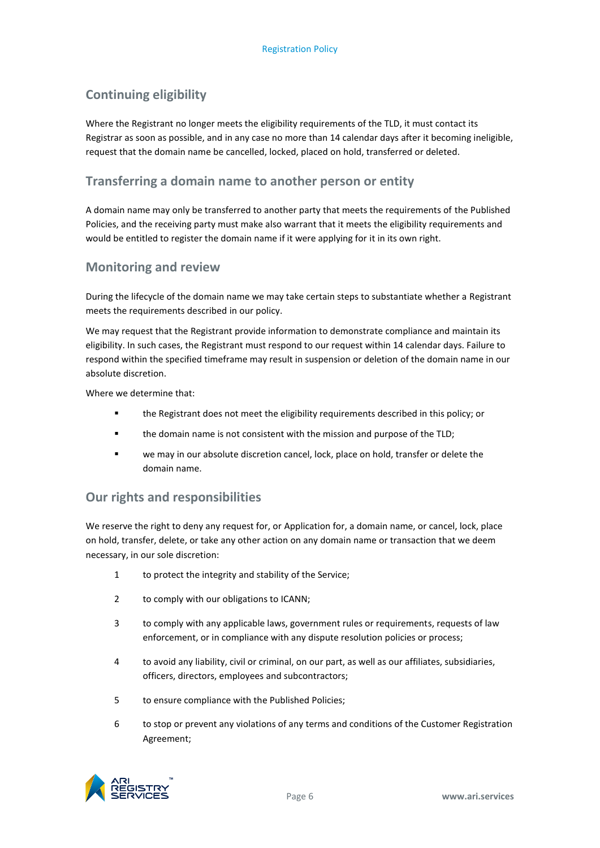# **Continuing eligibility**

Where the Registrant no longer meets the eligibility requirements of the TLD, it must contact its Registrar as soon as possible, and in any case no more than 14 calendar days after it becoming ineligible, request that the domain name be cancelled, locked, placed on hold, transferred or deleted.

# **Transferring a domain name to another person or entity**

A domain name may only be transferred to another party that meets the requirements of the Published Policies, and the receiving party must make also warrant that it meets the eligibility requirements and would be entitled to register the domain name if it were applying for it in its own right.

### **Monitoring and review**

During the lifecycle of the domain name we may take certain steps to substantiate whether a Registrant meets the requirements described in our policy.

We may request that the Registrant provide information to demonstrate compliance and maintain its eligibility. In such cases, the Registrant must respond to our request within 14 calendar days. Failure to respond within the specified timeframe may result in suspension or deletion of the domain name in our absolute discretion.

Where we determine that:

- the Registrant does not meet the eligibility requirements described in this policy; or
- the domain name is not consistent with the mission and purpose of the TLD;
- we may in our absolute discretion cancel, lock, place on hold, transfer or delete the domain name.

### **Our rights and responsibilities**

We reserve the right to deny any request for, or Application for, a domain name, or cancel, lock, place on hold, transfer, delete, or take any other action on any domain name or transaction that we deem necessary, in our sole discretion:

- 1 to protect the integrity and stability of the Service;
- 2 to comply with our obligations to ICANN;
- 3 to comply with any applicable laws, government rules or requirements, requests of law enforcement, or in compliance with any dispute resolution policies or process;
- 4 to avoid any liability, civil or criminal, on our part, as well as our affiliates, subsidiaries, officers, directors, employees and subcontractors;
- 5 to ensure compliance with the Published Policies;
- 6 to stop or prevent any violations of any terms and conditions of the Customer Registration Agreement;

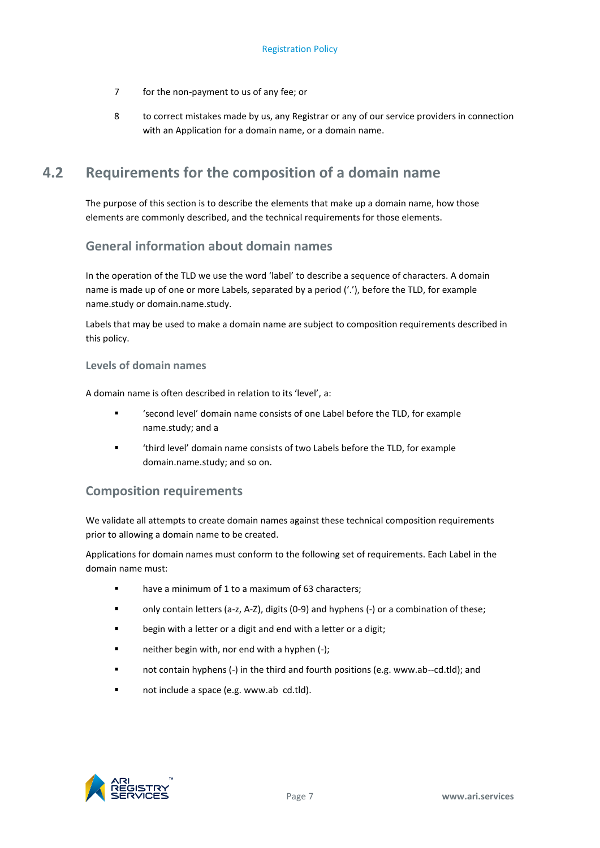- 7 for the non-payment to us of any fee; or
- 8 to correct mistakes made by us, any Registrar or any of our service providers in connection with an Application for a domain name, or a domain name.

# <span id="page-10-0"></span>**4.2 Requirements for the composition of a domain name**

The purpose of this section is to describe the elements that make up a domain name, how those elements are commonly described, and the technical requirements for those elements.

# **General information about domain names**

In the operation of the TLD we use the word 'label' to describe a sequence of characters. A domain name is made up of one or more Labels, separated by a period ('.'), before the TLD, for example name.study or domain.name.study.

Labels that may be used to make a domain name are subject to composition requirements described in this policy.

#### **Levels of domain names**

A domain name is often described in relation to its 'level', a:

- 'second level' domain name consists of one Label before the TLD, for example name.study; and a
- 'third level' domain name consists of two Labels before the TLD, for example domain.name.study; and so on.

### **Composition requirements**

We validate all attempts to create domain names against these technical composition requirements prior to allowing a domain name to be created.

Applications for domain names must conform to the following set of requirements. Each Label in the domain name must:

- have a minimum of 1 to a maximum of 63 characters;
- only contain letters (a-z, A-Z), digits (0-9) and hyphens (-) or a combination of these;
- **EXED** begin with a letter or a digit and end with a letter or a digit;
- $\blacksquare$  neither begin with, nor end with a hyphen (-);
- not contain hyphens (-) in the third and fourth positions (e.g. www.ab--cd.tld); and
- not include a space (e.g. www.ab cd.tld).

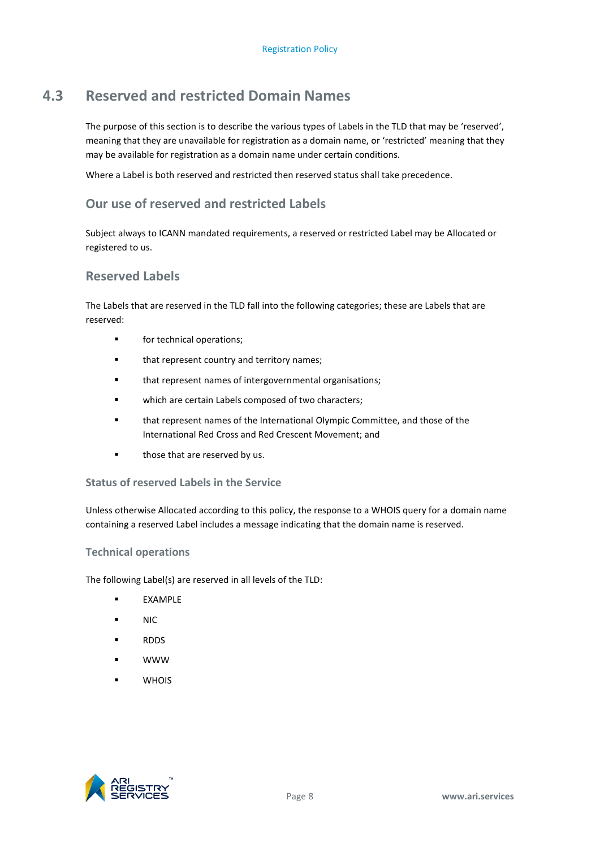# **4.3 Reserved and restricted Domain Names**

<span id="page-11-0"></span>The purpose of this section is to describe the various types of Labels in the TLD that may be 'reserved', meaning that they are unavailable for registration as a domain name, or 'restricted' meaning that they may be available for registration as a domain name under certain conditions.

Where a Label is both reserved and restricted then reserved status shall take precedence.

# **Our use of reserved and restricted Labels**

Subject always to ICANN mandated requirements, a reserved or restricted Label may be Allocated or registered to us.

# **Reserved Labels**

The Labels that are reserved in the TLD fall into the following categories; these are Labels that are reserved:

- **for technical operations:**
- **that represent country and territory names;**
- **that represent names of intergovernmental organisations;**
- **ullet unity which are certain Labels composed of two characters;**
- that represent names of the International Olympic Committee, and those of the International Red Cross and Red Crescent Movement; and
- **those that are reserved by us.**

### **Status of reserved Labels in the Service**

Unless otherwise Allocated according to this policy, the response to a WHOIS query for a domain name containing a reserved Label includes a message indicating that the domain name is reserved.

#### **Technical operations**

The following Label(s) are reserved in all levels of the TLD:

- EXAMPLE
- NIC
- **RDDS**
- WWW
- **U** WHOIS

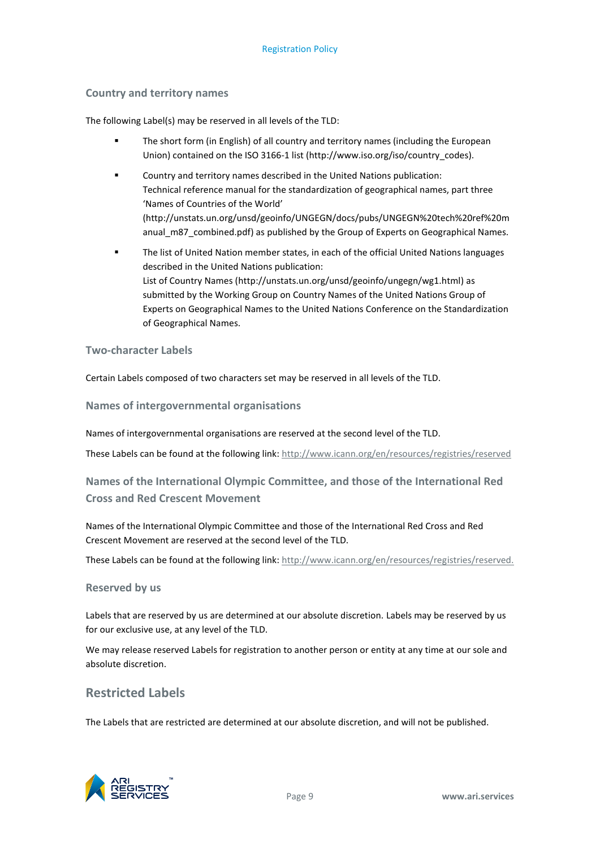#### **Country and territory names**

The following Label(s) may be reserved in all levels of the TLD:

- The short form (in English) of all country and territory names (including the European Union) contained on the ISO 3166-1 list [\(http://www.iso.org/iso/country\\_codes\)](http://www.iso.org/iso/country_codes).
- Country and territory names described in the United Nations publication: Technical reference manual for the standardization of geographical names, part three 'Names of Countries of the World' [\(http://unstats.un.org/unsd/geoinfo/UNGEGN/docs/pubs/UNGEGN%20tech%20ref%20m](http://unstats.un.org/unsd/geoinfo/UNGEGN/docs/pubs/UNGEGN%20tech%20ref%20manual_m87_combined.pdf) [anual\\_m87\\_combined.pdf\)](http://unstats.un.org/unsd/geoinfo/UNGEGN/docs/pubs/UNGEGN%20tech%20ref%20manual_m87_combined.pdf) as published by the Group of Experts on Geographical Names.
- The list of United Nation member states, in each of the official United Nations languages described in the United Nations publication: List of Country Names [\(http://unstats.un.org/unsd/geoinfo/ungegn/wg1.html\)](http://unstats.un.org/unsd/geoinfo/ungegn/wg1.html) as submitted by the Working Group on Country Names of the United Nations Group of Experts on Geographical Names to the United Nations Conference on the Standardization of Geographical Names.

#### **Two-character Labels**

Certain Labels composed of two characters set may be reserved in all levels of the TLD.

**Names of intergovernmental organisations**

Names of intergovernmental organisations are reserved at the second level of the TLD.

These Labels can be found at the following link:<http://www.icann.org/en/resources/registries/reserved>

# **Names of the International Olympic Committee, and those of the International Red Cross and Red Crescent Movement**

Names of the International Olympic Committee and those of the International Red Cross and Red Crescent Movement are reserved at the second level of the TLD.

These Labels can be found at the following link: [http://www.icann.org/en/resources/registries/reserved.](http://www.icann.org/en/resources/registries/reserved)

#### **Reserved by us**

Labels that are reserved by us are determined at our absolute discretion. Labels may be reserved by us for our exclusive use, at any level of the TLD.

We may release reserved Labels for registration to another person or entity at any time at our sole and absolute discretion.

### **Restricted Labels**

The Labels that are restricted are determined at our absolute discretion, and will not be published.

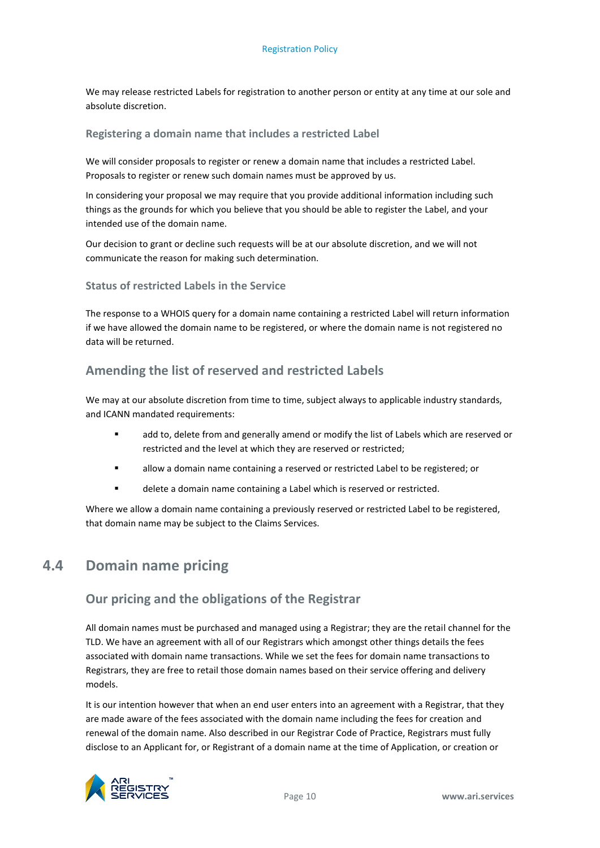We may release restricted Labels for registration to another person or entity at any time at our sole and absolute discretion.

#### **Registering a domain name that includes a restricted Label**

We will consider proposals to register or renew a domain name that includes a restricted Label. Proposals to register or renew such domain names must be approved by us.

In considering your proposal we may require that you provide additional information including such things as the grounds for which you believe that you should be able to register the Label, and your intended use of the domain name.

Our decision to grant or decline such requests will be at our absolute discretion, and we will not communicate the reason for making such determination.

#### **Status of restricted Labels in the Service**

The response to a WHOIS query for a domain name containing a restricted Label will return information if we have allowed the domain name to be registered, or where the domain name is not registered no data will be returned.

### **Amending the list of reserved and restricted Labels**

We may at our absolute discretion from time to time, subject always to applicable industry standards, and ICANN mandated requirements:

- add to, delete from and generally amend or modify the list of Labels which are reserved or restricted and the level at which they are reserved or restricted;
- allow a domain name containing a reserved or restricted Label to be registered; or
- delete a domain name containing a Label which is reserved or restricted.

<span id="page-13-0"></span>Where we allow a domain name containing a previously reserved or restricted Label to be registered, that domain name may be subject to the Claims Services.

# **4.4 Domain name pricing**

### **Our pricing and the obligations of the Registrar**

All domain names must be purchased and managed using a Registrar; they are the retail channel for the TLD. We have an agreement with all of our Registrars which amongst other things details the fees associated with domain name transactions. While we set the fees for domain name transactions to Registrars, they are free to retail those domain names based on their service offering and delivery models.

It is our intention however that when an end user enters into an agreement with a Registrar, that they are made aware of the fees associated with the domain name including the fees for creation and renewal of the domain name. Also described in our Registrar Code of Practice, Registrars must fully disclose to an Applicant for, or Registrant of a domain name at the time of Application, or creation or

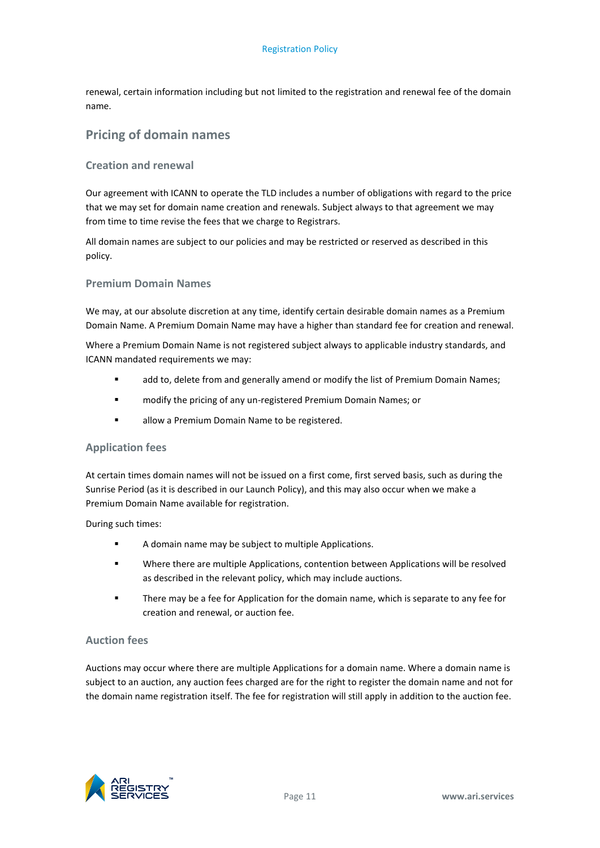renewal, certain information including but not limited to the registration and renewal fee of the domain name.

# **Pricing of domain names**

#### **Creation and renewal**

Our agreement with ICANN to operate the TLD includes a number of obligations with regard to the price that we may set for domain name creation and renewals. Subject always to that agreement we may from time to time revise the fees that we charge to Registrars.

All domain names are subject to our policies and may be restricted or reserved as described in this policy.

#### **Premium Domain Names**

We may, at our absolute discretion at any time, identify certain desirable domain names as a Premium Domain Name. A Premium Domain Name may have a higher than standard fee for creation and renewal.

Where a Premium Domain Name is not registered subject always to applicable industry standards, and ICANN mandated requirements we may:

- add to, delete from and generally amend or modify the list of Premium Domain Names;
- modify the pricing of any un-registered Premium Domain Names; or
- **allow a Premium Domain Name to be registered.**

#### **Application fees**

At certain times domain names will not be issued on a first come, first served basis, such as during the Sunrise Period (as it is described in our Launch Policy), and this may also occur when we make a Premium Domain Name available for registration.

During such times:

- **A** domain name may be subject to multiple Applications.
- Where there are multiple Applications, contention between Applications will be resolved as described in the relevant policy, which may include auctions.
- There may be a fee for Application for the domain name, which is separate to any fee for creation and renewal, or auction fee.

#### **Auction fees**

Auctions may occur where there are multiple Applications for a domain name. Where a domain name is subject to an auction, any auction fees charged are for the right to register the domain name and not for the domain name registration itself. The fee for registration will still apply in addition to the auction fee.

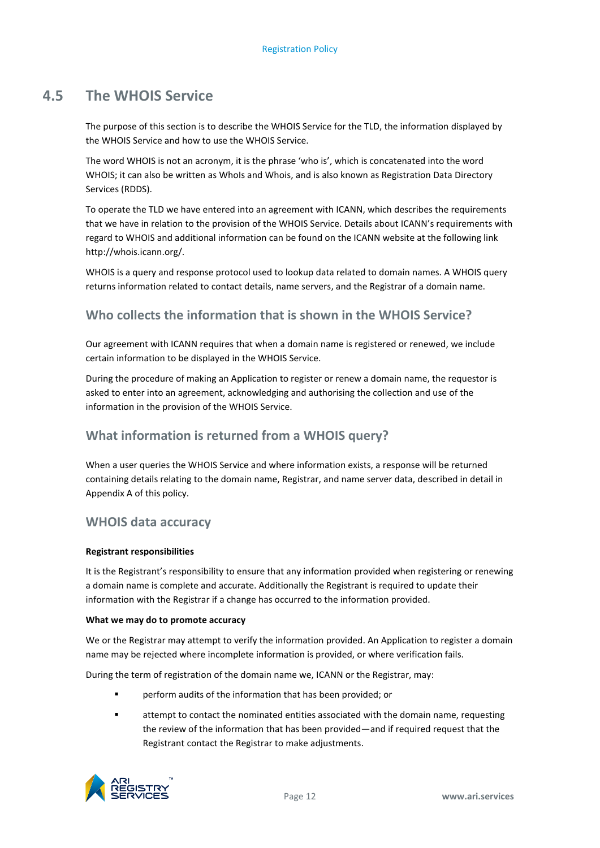# **4.5 The WHOIS Service**

<span id="page-15-0"></span>The purpose of this section is to describe the WHOIS Service for the TLD, the information displayed by the WHOIS Service and how to use the WHOIS Service.

The word WHOIS is not an acronym, it is the phrase 'who is', which is concatenated into the word WHOIS; it can also be written as WhoIs and Whois, and is also known as Registration Data Directory Services (RDDS).

To operate the TLD we have entered into an agreement with ICANN, which describes the requirements that we have in relation to the provision of the WHOIS Service. Details about ICANN's requirements with regard to WHOIS and additional information can be found on the ICANN website at the following link http://whois.icann.org/.

WHOIS is a query and response protocol used to lookup data related to domain names. A WHOIS query returns information related to contact details, name servers, and the Registrar of a domain name.

# **Who collects the information that is shown in the WHOIS Service?**

Our agreement with ICANN requires that when a domain name is registered or renewed, we include certain information to be displayed in the WHOIS Service.

During the procedure of making an Application to register or renew a domain name, the requestor is asked to enter into an agreement, acknowledging and authorising the collection and use of the information in the provision of the WHOIS Service.

# **What information is returned from a WHOIS query?**

When a user queries the WHOIS Service and where information exists, a response will be returned containing details relating to the domain name, Registrar, and name server data, described in detail in Appendix A of this policy.

### **WHOIS data accuracy**

#### **Registrant responsibilities**

It is the Registrant's responsibility to ensure that any information provided when registering or renewing a domain name is complete and accurate. Additionally the Registrant is required to update their information with the Registrar if a change has occurred to the information provided.

#### **What we may do to promote accuracy**

We or the Registrar may attempt to verify the information provided. An Application to register a domain name may be rejected where incomplete information is provided, or where verification fails.

During the term of registration of the domain name we, ICANN or the Registrar, may:

- perform audits of the information that has been provided; or
- attempt to contact the nominated entities associated with the domain name, requesting the review of the information that has been provided—and if required request that the Registrant contact the Registrar to make adjustments.

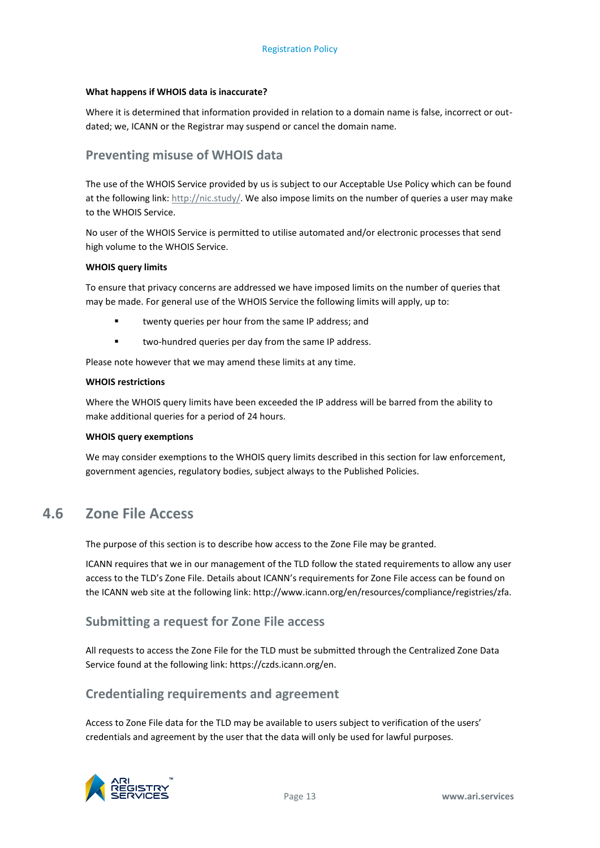#### **What happens if WHOIS data is inaccurate?**

Where it is determined that information provided in relation to a domain name is false, incorrect or outdated; we, ICANN or the Registrar may suspend or cancel the domain name.

### **Preventing misuse of WHOIS data**

The use of the WHOIS Service provided by us is subject to our Acceptable Use Policy which can be found at the following link[: http://nic.study/.](http://nic.study/) We also impose limits on the number of queries a user may make to the WHOIS Service.

No user of the WHOIS Service is permitted to utilise automated and/or electronic processes that send high volume to the WHOIS Service.

#### **WHOIS query limits**

To ensure that privacy concerns are addressed we have imposed limits on the number of queries that may be made. For general use of the WHOIS Service the following limits will apply, up to:

- twenty queries per hour from the same IP address; and
- **u** two-hundred queries per day from the same IP address.

Please note however that we may amend these limits at any time.

#### **WHOIS restrictions**

Where the WHOIS query limits have been exceeded the IP address will be barred from the ability to make additional queries for a period of 24 hours.

#### **WHOIS query exemptions**

<span id="page-16-0"></span>We may consider exemptions to the WHOIS query limits described in this section for law enforcement, government agencies, regulatory bodies, subject always to the Published Policies.

# **4.6 Zone File Access**

The purpose of this section is to describe how access to the Zone File may be granted.

ICANN requires that we in our management of the TLD follow the stated requirements to allow any user access to the TLD's Zone File. Details about ICANN's requirements for Zone File access can be found on the ICANN web site at the following link: http://www.icann.org/en/resources/compliance/registries/zfa.

### **Submitting a request for Zone File access**

All requests to access the Zone File for the TLD must be submitted through the Centralized Zone Data Service found at the following link: https://czds.icann.org/en.

### **Credentialing requirements and agreement**

Access to Zone File data for the TLD may be available to users subject to verification of the users' credentials and agreement by the user that the data will only be used for lawful purposes.

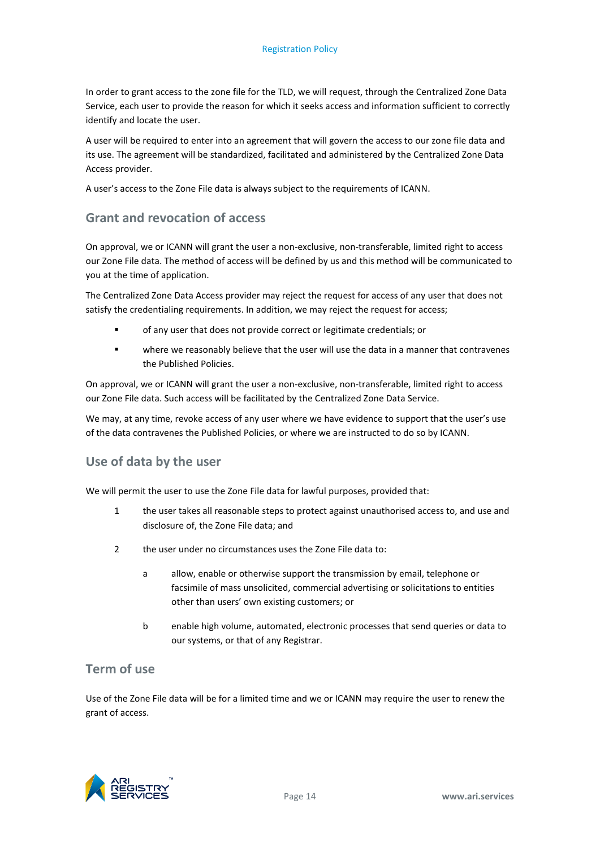In order to grant access to the zone file for the TLD, we will request, through the Centralized Zone Data Service, each user to provide the reason for which it seeks access and information sufficient to correctly identify and locate the user.

A user will be required to enter into an agreement that will govern the access to our zone file data and its use. The agreement will be standardized, facilitated and administered by the Centralized Zone Data Access provider.

A user's access to the Zone File data is always subject to the requirements of ICANN.

### **Grant and revocation of access**

On approval, we or ICANN will grant the user a non-exclusive, non-transferable, limited right to access our Zone File data. The method of access will be defined by us and this method will be communicated to you at the time of application.

The Centralized Zone Data Access provider may reject the request for access of any user that does not satisfy the credentialing requirements. In addition, we may reject the request for access;

- of any user that does not provide correct or legitimate credentials; or
- where we reasonably believe that the user will use the data in a manner that contravenes the Published Policies.

On approval, we or ICANN will grant the user a non-exclusive, non-transferable, limited right to access our Zone File data. Such access will be facilitated by the Centralized Zone Data Service.

We may, at any time, revoke access of any user where we have evidence to support that the user's use of the data contravenes the Published Policies, or where we are instructed to do so by ICANN.

### **Use of data by the user**

We will permit the user to use the Zone File data for lawful purposes, provided that:

- 1 the user takes all reasonable steps to protect against unauthorised access to, and use and disclosure of, the Zone File data; and
- 2 the user under no circumstances uses the Zone File data to:
	- a allow, enable or otherwise support the transmission by email, telephone or facsimile of mass unsolicited, commercial advertising or solicitations to entities other than users' own existing customers; or
	- b enable high volume, automated, electronic processes that send queries or data to our systems, or that of any Registrar.

### **Term of use**

Use of the Zone File data will be for a limited time and we or ICANN may require the user to renew the grant of access.

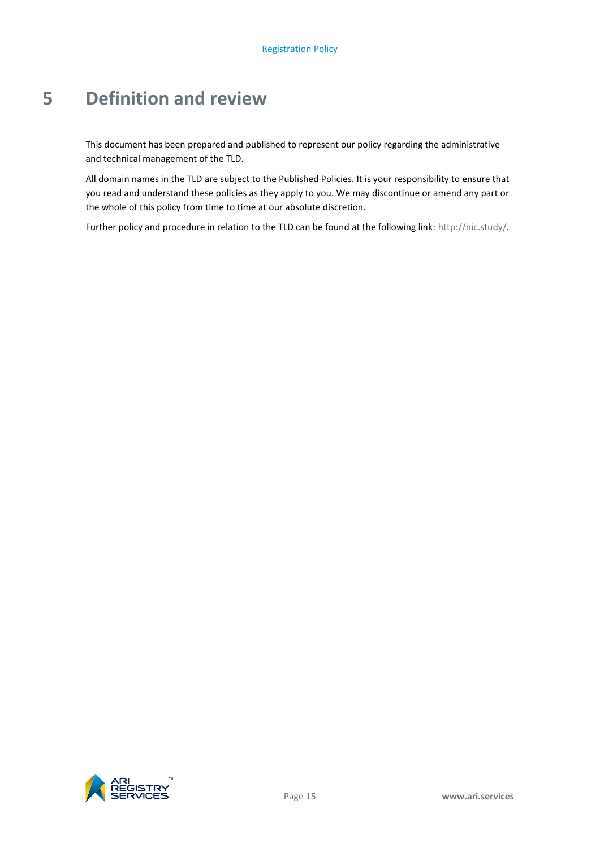# <span id="page-18-0"></span>**5 Definition and review**

This document has been prepared and published to represent our policy regarding the administrative and technical management of the TLD.

All domain names in the TLD are subject to the Published Policies. It is your responsibility to ensure that you read and understand these policies as they apply to you. We may discontinue or amend any part or the whole of this policy from time to time at our absolute discretion.

Further policy and procedure in relation to the TLD can be found at the following link[: http://nic.study/.](http://nic.study/)

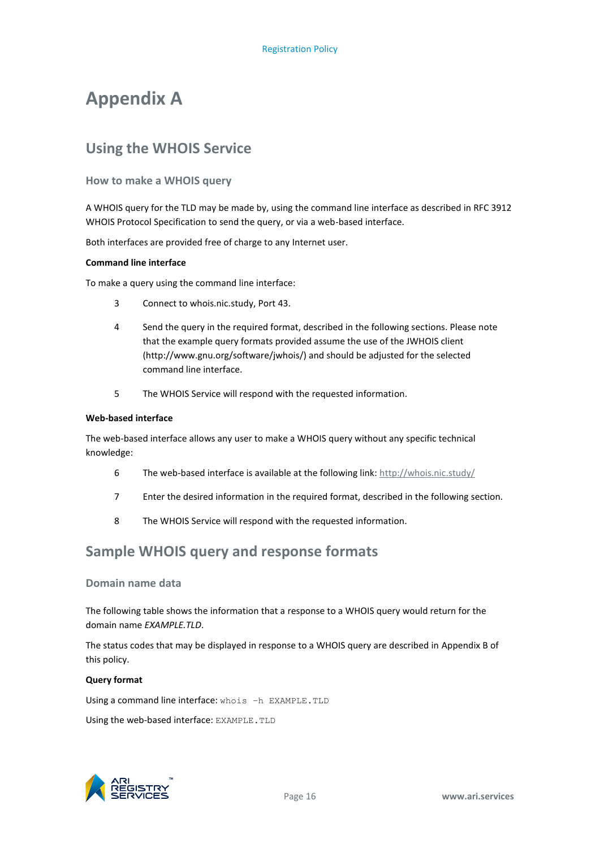# **Appendix A**

# **Using the WHOIS Service**

#### **How to make a WHOIS query**

A WHOIS query for the TLD may be made by, using the command line interface as described in RFC 3912 WHOIS Protocol Specification to send the query, or via a web-based interface.

Both interfaces are provided free of charge to any Internet user.

#### **Command line interface**

To make a query using the command line interface:

- 3 Connect to whois.nic.study, Port 43.
- 4 Send the query in the required format, described in the following sections. Please note that the example query formats provided assume the use of the JWHOIS client (http://www.gnu.org/software/jwhois/) and should be adjusted for the selected command line interface.
- 5 The WHOIS Service will respond with the requested information.

#### **Web-based interface**

The web-based interface allows any user to make a WHOIS query without any specific technical knowledge:

- 6 The web-based interface is available at the following link:<http://whois.nic.study/>
- 7 Enter the desired information in the required format, described in the following section.
- 8 The WHOIS Service will respond with the requested information.

# **Sample WHOIS query and response formats**

#### **Domain name data**

The following table shows the information that a response to a WHOIS query would return for the domain name *EXAMPLE.TLD*.

The status codes that may be displayed in response to a WHOIS query are described in Appendix B of this policy.

#### **Query format**

Using a command line interface: whois -h EXAMPLE. TLD

Using the web-based interface: EXAMPLE.TLD

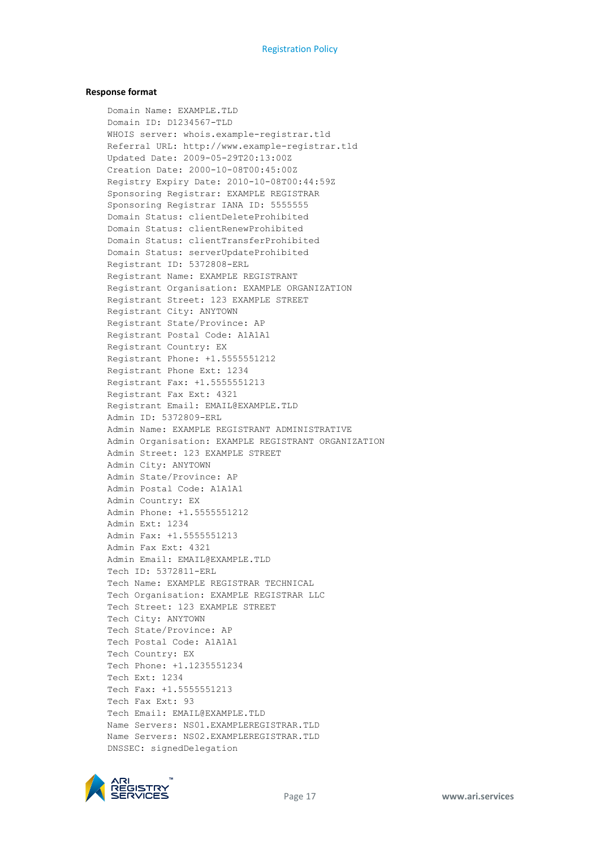#### **Response format**

Domain Name: EXAMPLE.TLD Domain ID: D1234567-TLD WHOIS server: whois.example-registrar.tld Referral URL: http://www.example-registrar.tld Updated Date: 2009-05-29T20:13:00Z Creation Date: 2000-10-08T00:45:00Z Registry Expiry Date: 2010-10-08T00:44:59Z Sponsoring Registrar: EXAMPLE REGISTRAR Sponsoring Registrar IANA ID: 5555555 Domain Status: clientDeleteProhibited Domain Status: clientRenewProhibited Domain Status: clientTransferProhibited Domain Status: serverUpdateProhibited Registrant ID: 5372808-ERL Registrant Name: EXAMPLE REGISTRANT Registrant Organisation: EXAMPLE ORGANIZATION Registrant Street: 123 EXAMPLE STREET Registrant City: ANYTOWN Registrant State/Province: AP Registrant Postal Code: A1A1A1 Registrant Country: EX Registrant Phone: +1.5555551212 Registrant Phone Ext: 1234 Registrant Fax: +1.5555551213 Registrant Fax Ext: 4321 Registrant Email: EMAIL@EXAMPLE.TLD Admin ID: 5372809-ERL Admin Name: EXAMPLE REGISTRANT ADMINISTRATIVE Admin Organisation: EXAMPLE REGISTRANT ORGANIZATION Admin Street: 123 EXAMPLE STREET Admin City: ANYTOWN Admin State/Province: AP Admin Postal Code: A1A1A1 Admin Country: EX Admin Phone: +1.5555551212 Admin Ext: 1234 Admin Fax: +1.5555551213 Admin Fax Ext: 4321 Admin Email: EMAIL@EXAMPLE.TLD Tech ID: 5372811-ERL Tech Name: EXAMPLE REGISTRAR TECHNICAL Tech Organisation: EXAMPLE REGISTRAR LLC Tech Street: 123 EXAMPLE STREET Tech City: ANYTOWN Tech State/Province: AP Tech Postal Code: A1A1A1 Tech Country: EX Tech Phone: +1.1235551234 Tech Ext: 1234 Tech Fax: +1.5555551213 Tech Fax Ext: 93 Tech Email: EMAIL@EXAMPLE.TLD Name Servers: NS01.EXAMPLEREGISTRAR.TLD Name Servers: NS02.EXAMPLEREGISTRAR.TLD DNSSEC: signedDelegation

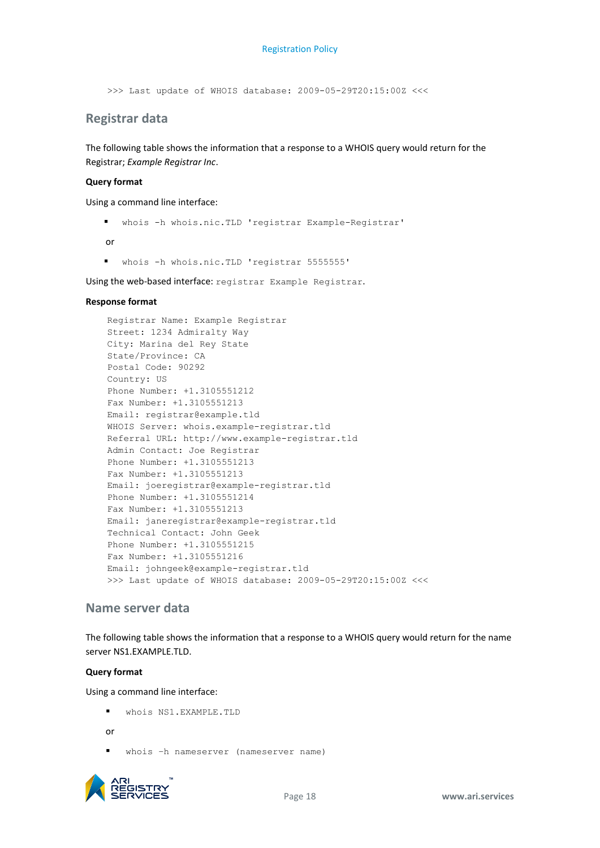>>> Last update of WHOIS database: 2009-05-29T20:15:00Z <<<

### **Registrar data**

The following table shows the information that a response to a WHOIS query would return for the Registrar; *Example Registrar Inc*.

#### **Query format**

Using a command line interface:

whois -h whois.nic.TLD 'registrar Example-Registrar'

or

whois -h whois.nic.TLD 'registrar 5555555'

Using the web-based interface: registrar Example Registrar.

#### **Response format**

Registrar Name: Example Registrar Street: 1234 Admiralty Way City: Marina del Rey State State/Province: CA Postal Code: 90292 Country: US Phone Number: +1.3105551212 Fax Number: +1.3105551213 Email: registrar@example.tld WHOIS Server: whois.example-registrar.tld Referral URL: http://www.example-registrar.tld Admin Contact: Joe Registrar Phone Number: +1.3105551213 Fax Number: +1.3105551213 Email: joeregistrar@example-registrar.tld Phone Number: +1.3105551214 Fax Number: +1.3105551213 Email: janeregistrar@example-registrar.tld Technical Contact: John Geek Phone Number: +1.3105551215 Fax Number: +1.3105551216 Email: johngeek@example-registrar.tld >>> Last update of WHOIS database: 2009-05-29T20:15:00Z <<<

#### **Name server data**

The following table shows the information that a response to a WHOIS query would return for the name server NS1.EXAMPLE.TLD.

#### **Query format**

Using a command line interface:

 $\blacksquare$  whois NS1.EXAMPLE.TLD

or

whois –h nameserver (nameserver name)

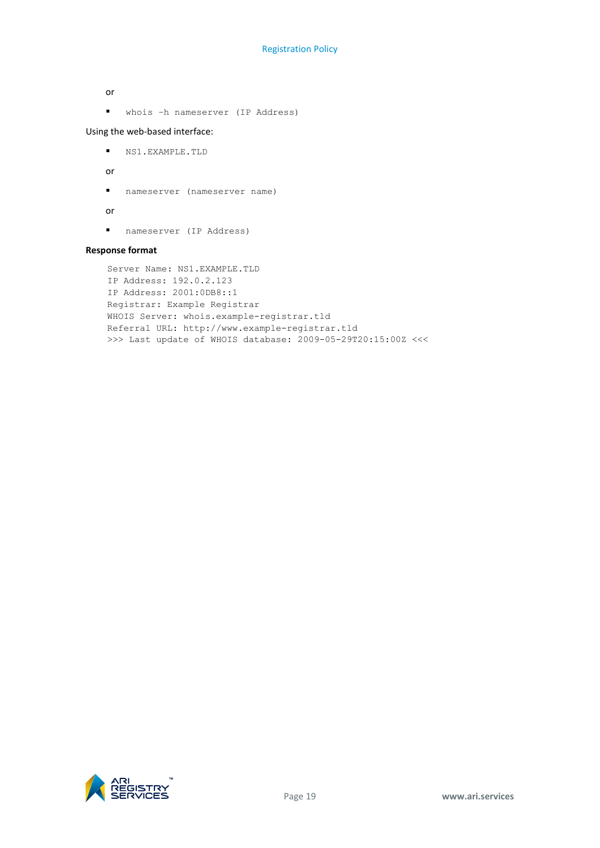or

whois –h nameserver (IP Address)

Using the web-based interface:

NS1.EXAMPLE.TLD

or

nameserver (nameserver name)

or

nameserver (IP Address)

#### **Response format**

```
Server Name: NS1.EXAMPLE.TLD
IP Address: 192.0.2.123
IP Address: 2001:0DB8::1
Registrar: Example Registrar
WHOIS Server: whois.example-registrar.tld
Referral URL: http://www.example-registrar.tld
>>> Last update of WHOIS database: 2009-05-29T20:15:00Z <<<
```
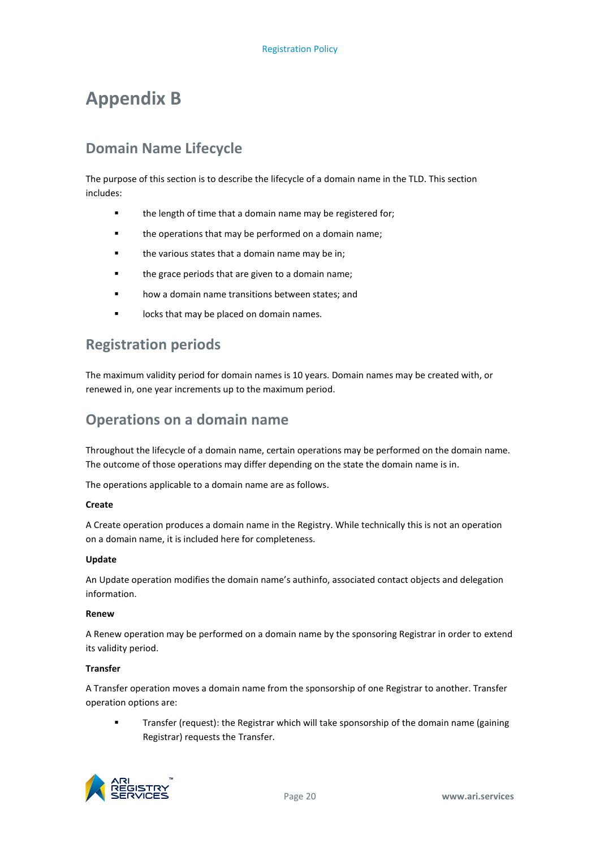# **Appendix B**

# **Domain Name Lifecycle**

The purpose of this section is to describe the lifecycle of a domain name in the TLD. This section includes:

- the length of time that a domain name may be registered for;
- **the operations that may be performed on a domain name;**
- **the various states that a domain name may be in;**
- **the grace periods that are given to a domain name;**
- how a domain name transitions between states; and
- **IDUCKS that may be placed on domain names.**

# **Registration periods**

The maximum validity period for domain names is 10 years. Domain names may be created with, or renewed in, one year increments up to the maximum period.

# **Operations on a domain name**

Throughout the lifecycle of a domain name, certain operations may be performed on the domain name. The outcome of those operations may differ depending on the state the domain name is in.

The operations applicable to a domain name are as follows.

#### **Create**

A Create operation produces a domain name in the Registry. While technically this is not an operation on a domain name, it is included here for completeness.

#### **Update**

An Update operation modifies the domain name's authinfo, associated contact objects and delegation information.

#### **Renew**

A Renew operation may be performed on a domain name by the sponsoring Registrar in order to extend its validity period.

#### **Transfer**

A Transfer operation moves a domain name from the sponsorship of one Registrar to another. Transfer operation options are:

 Transfer (request): the Registrar which will take sponsorship of the domain name (gaining Registrar) requests the Transfer.

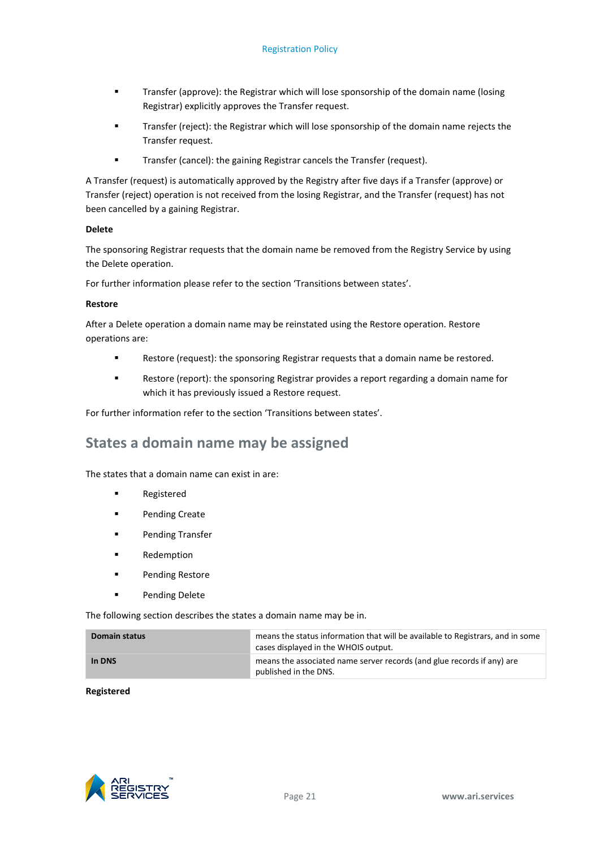- Transfer (approve): the Registrar which will lose sponsorship of the domain name (losing Registrar) explicitly approves the Transfer request.
- Transfer (reject): the Registrar which will lose sponsorship of the domain name rejects the Transfer request.
- **Transfer (cancel): the gaining Registrar cancels the Transfer (request).**

A Transfer (request) is automatically approved by the Registry after five days if a Transfer (approve) or Transfer (reject) operation is not received from the losing Registrar, and the Transfer (request) has not been cancelled by a gaining Registrar.

#### **Delete**

The sponsoring Registrar requests that the domain name be removed from the Registry Service by using the Delete operation.

For further information please refer to the section 'Transitions between states'.

#### **Restore**

After a Delete operation a domain name may be reinstated using the Restore operation. Restore operations are:

- Restore (request): the sponsoring Registrar requests that a domain name be restored.
- Restore (report): the sponsoring Registrar provides a report regarding a domain name for which it has previously issued a Restore request.

For further information refer to the section 'Transitions between states'.

# **States a domain name may be assigned**

The states that a domain name can exist in are:

- **Registered**
- **Pending Create**
- **Pending Transfer**
- Redemption
- **Pending Restore**
- **Pending Delete**

The following section describes the states a domain name may be in.

| Domain status | means the status information that will be available to Registrars, and in some<br>cases displayed in the WHOIS output. |
|---------------|------------------------------------------------------------------------------------------------------------------------|
| In DNS        | means the associated name server records (and glue records if any) are<br>published in the DNS.                        |

#### **Registered**

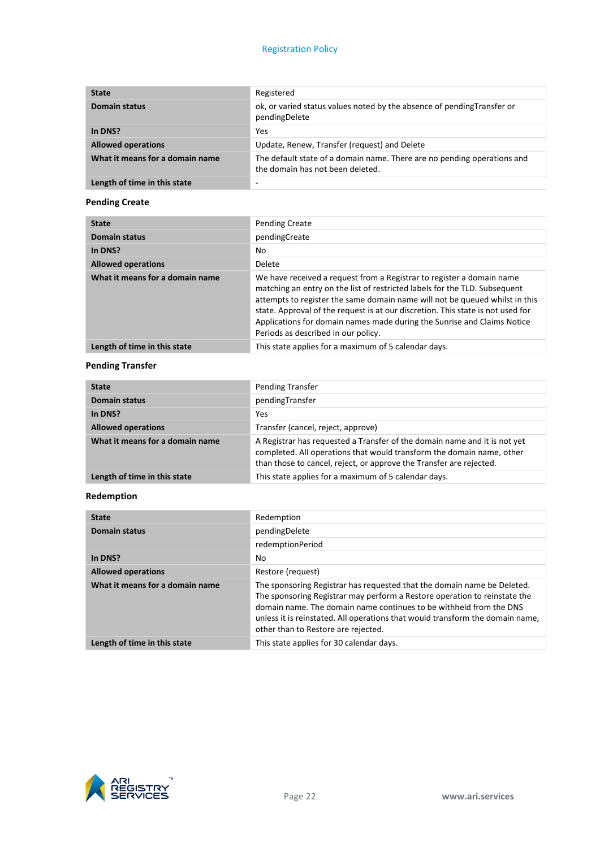#### Registration Policy

| <b>State</b>                    | Registered                                                                                                  |
|---------------------------------|-------------------------------------------------------------------------------------------------------------|
| <b>Domain status</b>            | ok, or varied status values noted by the absence of pending Transfer or<br>pendingDelete                    |
| In DNS?                         | Yes                                                                                                         |
| <b>Allowed operations</b>       | Update, Renew, Transfer (request) and Delete                                                                |
| What it means for a domain name | The default state of a domain name. There are no pending operations and<br>the domain has not been deleted. |
| Length of time in this state    |                                                                                                             |

### **Pending Create**

| <b>State</b>                    | <b>Pending Create</b>                                                                                                                                                                                                                                                                                                                                                                                                                   |
|---------------------------------|-----------------------------------------------------------------------------------------------------------------------------------------------------------------------------------------------------------------------------------------------------------------------------------------------------------------------------------------------------------------------------------------------------------------------------------------|
| <b>Domain status</b>            | pendingCreate                                                                                                                                                                                                                                                                                                                                                                                                                           |
| In DNS?                         | No                                                                                                                                                                                                                                                                                                                                                                                                                                      |
| <b>Allowed operations</b>       | Delete                                                                                                                                                                                                                                                                                                                                                                                                                                  |
| What it means for a domain name | We have received a request from a Registrar to register a domain name<br>matching an entry on the list of restricted labels for the TLD. Subsequent<br>attempts to register the same domain name will not be queued whilst in this<br>state. Approval of the request is at our discretion. This state is not used for<br>Applications for domain names made during the Sunrise and Claims Notice<br>Periods as described in our policy. |
| Length of time in this state    | This state applies for a maximum of 5 calendar days.                                                                                                                                                                                                                                                                                                                                                                                    |

### **Pending Transfer**

| <b>State</b>                    | Pending Transfer                                                                                                                                                                                                          |  |
|---------------------------------|---------------------------------------------------------------------------------------------------------------------------------------------------------------------------------------------------------------------------|--|
| <b>Domain status</b>            | pendingTransfer                                                                                                                                                                                                           |  |
| In DNS?                         | Yes                                                                                                                                                                                                                       |  |
| <b>Allowed operations</b>       | Transfer (cancel, reject, approve)                                                                                                                                                                                        |  |
| What it means for a domain name | A Registrar has requested a Transfer of the domain name and it is not yet<br>completed. All operations that would transform the domain name, other<br>than those to cancel, reject, or approve the Transfer are rejected. |  |
| Length of time in this state    | This state applies for a maximum of 5 calendar days.                                                                                                                                                                      |  |

### **Redemption**

| <b>State</b>                    | Redemption                                                                                                                                                                                                                                                                                                                                         |
|---------------------------------|----------------------------------------------------------------------------------------------------------------------------------------------------------------------------------------------------------------------------------------------------------------------------------------------------------------------------------------------------|
| <b>Domain status</b>            | pendingDelete                                                                                                                                                                                                                                                                                                                                      |
|                                 | redemptionPeriod                                                                                                                                                                                                                                                                                                                                   |
| In DNS?                         | No                                                                                                                                                                                                                                                                                                                                                 |
| <b>Allowed operations</b>       | Restore (request)                                                                                                                                                                                                                                                                                                                                  |
| What it means for a domain name | The sponsoring Registrar has requested that the domain name be Deleted.<br>The sponsoring Registrar may perform a Restore operation to reinstate the<br>domain name. The domain name continues to be withheld from the DNS<br>unless it is reinstated. All operations that would transform the domain name,<br>other than to Restore are rejected. |
| Length of time in this state    | This state applies for 30 calendar days.                                                                                                                                                                                                                                                                                                           |

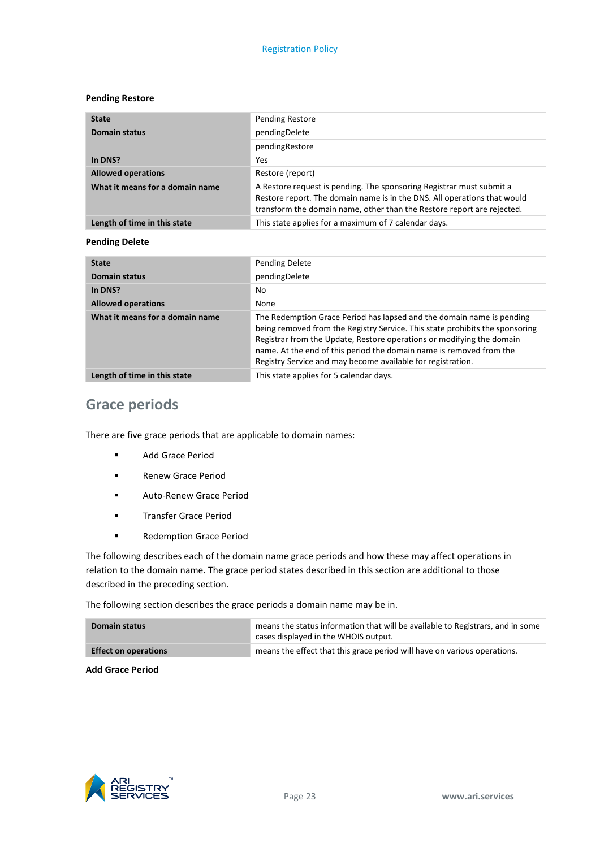#### **Pending Restore**

| <b>State</b>                    | Pending Restore                                                                                                                                                                                                            |
|---------------------------------|----------------------------------------------------------------------------------------------------------------------------------------------------------------------------------------------------------------------------|
| <b>Domain status</b>            | pendingDelete                                                                                                                                                                                                              |
|                                 | pendingRestore                                                                                                                                                                                                             |
| In DNS?                         | Yes                                                                                                                                                                                                                        |
| <b>Allowed operations</b>       | Restore (report)                                                                                                                                                                                                           |
| What it means for a domain name | A Restore request is pending. The sponsoring Registrar must submit a<br>Restore report. The domain name is in the DNS. All operations that would<br>transform the domain name, other than the Restore report are rejected. |
| Length of time in this state    | This state applies for a maximum of 7 calendar days.                                                                                                                                                                       |

### **Pending Delete**

| <b>State</b>                    | Pending Delete                                                                                                                                                                                                                                                                                                                                                       |
|---------------------------------|----------------------------------------------------------------------------------------------------------------------------------------------------------------------------------------------------------------------------------------------------------------------------------------------------------------------------------------------------------------------|
| <b>Domain status</b>            | pendingDelete                                                                                                                                                                                                                                                                                                                                                        |
| In DNS?                         | No                                                                                                                                                                                                                                                                                                                                                                   |
| <b>Allowed operations</b>       | None                                                                                                                                                                                                                                                                                                                                                                 |
| What it means for a domain name | The Redemption Grace Period has lapsed and the domain name is pending<br>being removed from the Registry Service. This state prohibits the sponsoring<br>Registrar from the Update, Restore operations or modifying the domain<br>name. At the end of this period the domain name is removed from the<br>Registry Service and may become available for registration. |
| Length of time in this state    | This state applies for 5 calendar days.                                                                                                                                                                                                                                                                                                                              |

# **Grace periods**

There are five grace periods that are applicable to domain names:

- Add Grace Period
- **Renew Grace Period**
- **Auto-Renew Grace Period**
- **Transfer Grace Period**
- **Redemption Grace Period**

The following describes each of the domain name grace periods and how these may affect operations in relation to the domain name. The grace period states described in this section are additional to those described in the preceding section.

The following section describes the grace periods a domain name may be in.

| Domain status               | means the status information that will be available to Registrars, and in some<br>cases displayed in the WHOIS output. |
|-----------------------------|------------------------------------------------------------------------------------------------------------------------|
| <b>Effect on operations</b> | means the effect that this grace period will have on various operations.                                               |

**Add Grace Period**

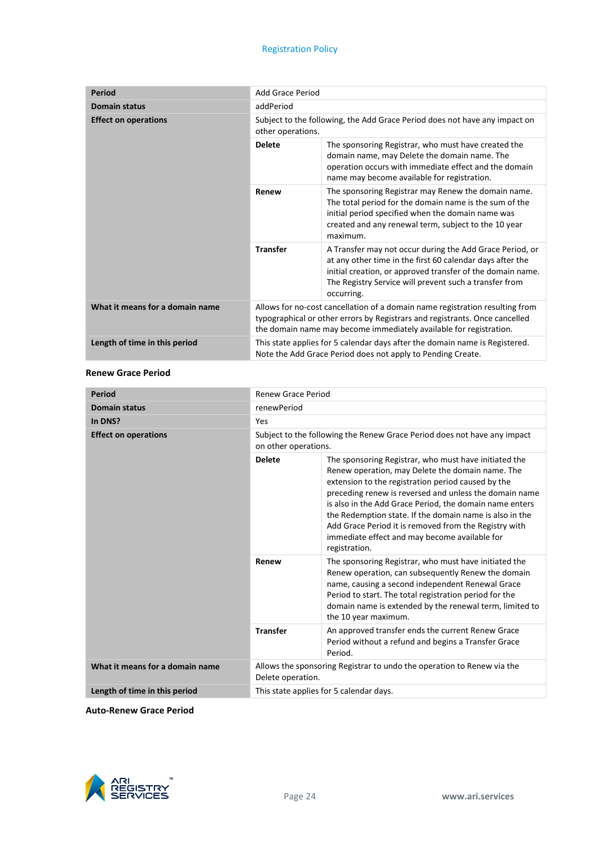#### Registration Policy

| <b>Period</b>                   | Add Grace Period                                                                                                                                                                                                                  |                                                                                                                                                                                                                                                             |
|---------------------------------|-----------------------------------------------------------------------------------------------------------------------------------------------------------------------------------------------------------------------------------|-------------------------------------------------------------------------------------------------------------------------------------------------------------------------------------------------------------------------------------------------------------|
| <b>Domain status</b>            | addPeriod                                                                                                                                                                                                                         |                                                                                                                                                                                                                                                             |
| <b>Effect on operations</b>     | Subject to the following, the Add Grace Period does not have any impact on<br>other operations.                                                                                                                                   |                                                                                                                                                                                                                                                             |
|                                 | <b>Delete</b>                                                                                                                                                                                                                     | The sponsoring Registrar, who must have created the<br>domain name, may Delete the domain name. The<br>operation occurs with immediate effect and the domain<br>name may become available for registration.                                                 |
|                                 | Renew                                                                                                                                                                                                                             | The sponsoring Registrar may Renew the domain name.<br>The total period for the domain name is the sum of the<br>initial period specified when the domain name was<br>created and any renewal term, subject to the 10 year<br>maximum.                      |
|                                 | <b>Transfer</b>                                                                                                                                                                                                                   | A Transfer may not occur during the Add Grace Period, or<br>at any other time in the first 60 calendar days after the<br>initial creation, or approved transfer of the domain name.<br>The Registry Service will prevent such a transfer from<br>occurring. |
| What it means for a domain name | Allows for no-cost cancellation of a domain name registration resulting from<br>typographical or other errors by Registrars and registrants. Once cancelled<br>the domain name may become immediately available for registration. |                                                                                                                                                                                                                                                             |
| Length of time in this period   | This state applies for 5 calendar days after the domain name is Registered.<br>Note the Add Grace Period does not apply to Pending Create.                                                                                        |                                                                                                                                                                                                                                                             |

#### **Renew Grace Period**

| <b>Period</b>                   | <b>Renew Grace Period</b>                                                                        |                                                                                                                                                                                                                                                                                                                                                                                                                                                                            |  |
|---------------------------------|--------------------------------------------------------------------------------------------------|----------------------------------------------------------------------------------------------------------------------------------------------------------------------------------------------------------------------------------------------------------------------------------------------------------------------------------------------------------------------------------------------------------------------------------------------------------------------------|--|
| <b>Domain status</b>            | renewPeriod                                                                                      |                                                                                                                                                                                                                                                                                                                                                                                                                                                                            |  |
| In DNS?                         | Yes                                                                                              |                                                                                                                                                                                                                                                                                                                                                                                                                                                                            |  |
| <b>Effect on operations</b>     | Subject to the following the Renew Grace Period does not have any impact<br>on other operations. |                                                                                                                                                                                                                                                                                                                                                                                                                                                                            |  |
|                                 | <b>Delete</b>                                                                                    | The sponsoring Registrar, who must have initiated the<br>Renew operation, may Delete the domain name. The<br>extension to the registration period caused by the<br>preceding renew is reversed and unless the domain name<br>is also in the Add Grace Period, the domain name enters<br>the Redemption state. If the domain name is also in the<br>Add Grace Period it is removed from the Registry with<br>immediate effect and may become available for<br>registration. |  |
|                                 | Renew                                                                                            | The sponsoring Registrar, who must have initiated the<br>Renew operation, can subsequently Renew the domain<br>name, causing a second independent Renewal Grace<br>Period to start. The total registration period for the<br>domain name is extended by the renewal term, limited to<br>the 10 year maximum.                                                                                                                                                               |  |
|                                 | <b>Transfer</b>                                                                                  | An approved transfer ends the current Renew Grace<br>Period without a refund and begins a Transfer Grace<br>Period.                                                                                                                                                                                                                                                                                                                                                        |  |
| What it means for a domain name | Allows the sponsoring Registrar to undo the operation to Renew via the<br>Delete operation.      |                                                                                                                                                                                                                                                                                                                                                                                                                                                                            |  |
| Length of time in this period   | This state applies for 5 calendar days.                                                          |                                                                                                                                                                                                                                                                                                                                                                                                                                                                            |  |

**Auto-Renew Grace Period**

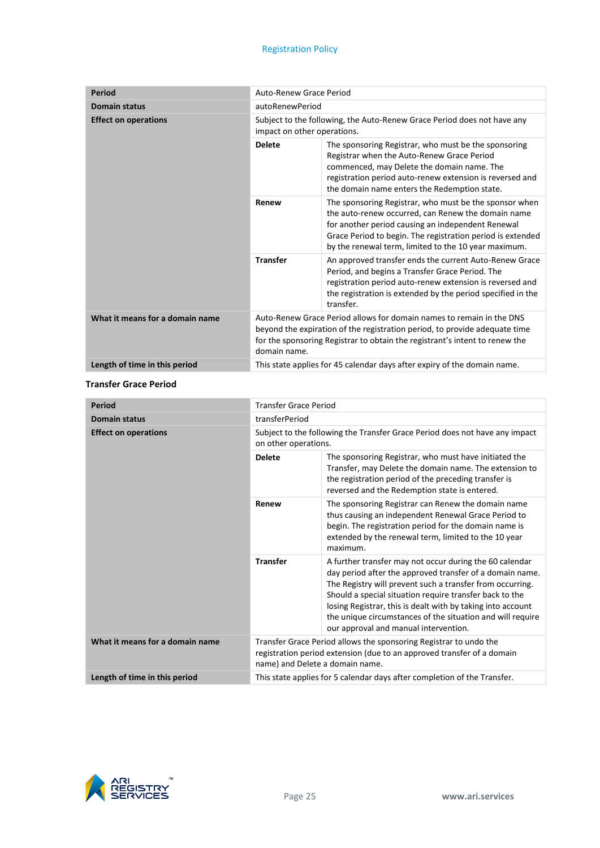#### Registration Policy

| <b>Period</b>                   | Auto-Renew Grace Period                                                                                                                                                                                                                           |                                                                                                                                                                                                                                                                                         |  |
|---------------------------------|---------------------------------------------------------------------------------------------------------------------------------------------------------------------------------------------------------------------------------------------------|-----------------------------------------------------------------------------------------------------------------------------------------------------------------------------------------------------------------------------------------------------------------------------------------|--|
| <b>Domain status</b>            | autoRenewPeriod                                                                                                                                                                                                                                   |                                                                                                                                                                                                                                                                                         |  |
| <b>Effect on operations</b>     | Subject to the following, the Auto-Renew Grace Period does not have any<br>impact on other operations.                                                                                                                                            |                                                                                                                                                                                                                                                                                         |  |
|                                 | <b>Delete</b>                                                                                                                                                                                                                                     | The sponsoring Registrar, who must be the sponsoring<br>Registrar when the Auto-Renew Grace Period<br>commenced, may Delete the domain name. The<br>registration period auto-renew extension is reversed and<br>the domain name enters the Redemption state.                            |  |
|                                 | Renew                                                                                                                                                                                                                                             | The sponsoring Registrar, who must be the sponsor when<br>the auto-renew occurred, can Renew the domain name<br>for another period causing an independent Renewal<br>Grace Period to begin. The registration period is extended<br>by the renewal term, limited to the 10 year maximum. |  |
|                                 | <b>Transfer</b>                                                                                                                                                                                                                                   | An approved transfer ends the current Auto-Renew Grace<br>Period, and begins a Transfer Grace Period. The<br>registration period auto-renew extension is reversed and<br>the registration is extended by the period specified in the<br>transfer.                                       |  |
| What it means for a domain name | Auto-Renew Grace Period allows for domain names to remain in the DNS<br>beyond the expiration of the registration period, to provide adequate time<br>for the sponsoring Registrar to obtain the registrant's intent to renew the<br>domain name. |                                                                                                                                                                                                                                                                                         |  |
| Length of time in this period   | This state applies for 45 calendar days after expiry of the domain name.                                                                                                                                                                          |                                                                                                                                                                                                                                                                                         |  |

#### **Transfer Grace Period**

| <b>Period</b>                   | <b>Transfer Grace Period</b>    |                                                                                                                                                                                                                                                                                                                                                                                                                   |
|---------------------------------|---------------------------------|-------------------------------------------------------------------------------------------------------------------------------------------------------------------------------------------------------------------------------------------------------------------------------------------------------------------------------------------------------------------------------------------------------------------|
| <b>Domain status</b>            | transferPeriod                  |                                                                                                                                                                                                                                                                                                                                                                                                                   |
| <b>Effect on operations</b>     | on other operations.            | Subject to the following the Transfer Grace Period does not have any impact                                                                                                                                                                                                                                                                                                                                       |
|                                 | <b>Delete</b>                   | The sponsoring Registrar, who must have initiated the<br>Transfer, may Delete the domain name. The extension to<br>the registration period of the preceding transfer is<br>reversed and the Redemption state is entered.                                                                                                                                                                                          |
|                                 | Renew                           | The sponsoring Registrar can Renew the domain name<br>thus causing an independent Renewal Grace Period to<br>begin. The registration period for the domain name is<br>extended by the renewal term, limited to the 10 year<br>maximum.                                                                                                                                                                            |
|                                 | <b>Transfer</b>                 | A further transfer may not occur during the 60 calendar<br>day period after the approved transfer of a domain name.<br>The Registry will prevent such a transfer from occurring.<br>Should a special situation require transfer back to the<br>losing Registrar, this is dealt with by taking into account<br>the unique circumstances of the situation and will require<br>our approval and manual intervention. |
| What it means for a domain name | name) and Delete a domain name. | Transfer Grace Period allows the sponsoring Registrar to undo the<br>registration period extension (due to an approved transfer of a domain                                                                                                                                                                                                                                                                       |
| Length of time in this period   |                                 | This state applies for 5 calendar days after completion of the Transfer.                                                                                                                                                                                                                                                                                                                                          |

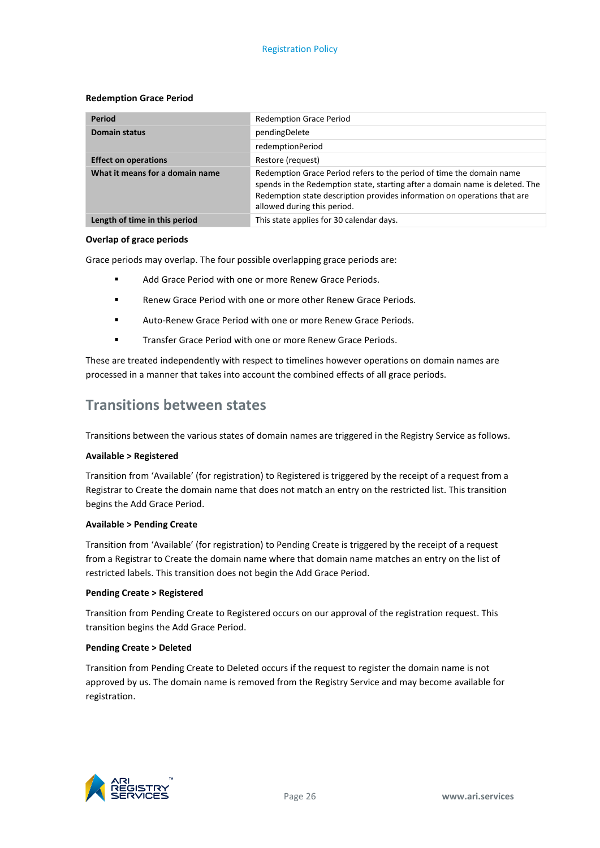#### **Redemption Grace Period**

| Period                          | <b>Redemption Grace Period</b>                                                                                                                                                                                                                                  |
|---------------------------------|-----------------------------------------------------------------------------------------------------------------------------------------------------------------------------------------------------------------------------------------------------------------|
| <b>Domain status</b>            | pendingDelete                                                                                                                                                                                                                                                   |
|                                 | redemptionPeriod                                                                                                                                                                                                                                                |
| <b>Effect on operations</b>     | Restore (request)                                                                                                                                                                                                                                               |
| What it means for a domain name | Redemption Grace Period refers to the period of time the domain name<br>spends in the Redemption state, starting after a domain name is deleted. The<br>Redemption state description provides information on operations that are<br>allowed during this period. |
| Length of time in this period   | This state applies for 30 calendar days.                                                                                                                                                                                                                        |

#### **Overlap of grace periods**

Grace periods may overlap. The four possible overlapping grace periods are:

- **Add Grace Period with one or more Renew Grace Periods.**
- Renew Grace Period with one or more other Renew Grace Periods.
- Auto-Renew Grace Period with one or more Renew Grace Periods.
- Transfer Grace Period with one or more Renew Grace Periods.

These are treated independently with respect to timelines however operations on domain names are processed in a manner that takes into account the combined effects of all grace periods.

# **Transitions between states**

Transitions between the various states of domain names are triggered in the Registry Service as follows.

#### **Available > Registered**

Transition from 'Available' (for registration) to Registered is triggered by the receipt of a request from a Registrar to Create the domain name that does not match an entry on the restricted list. This transition begins the Add Grace Period.

#### **Available > Pending Create**

Transition from 'Available' (for registration) to Pending Create is triggered by the receipt of a request from a Registrar to Create the domain name where that domain name matches an entry on the list of restricted labels. This transition does not begin the Add Grace Period.

#### **Pending Create > Registered**

Transition from Pending Create to Registered occurs on our approval of the registration request. This transition begins the Add Grace Period.

#### **Pending Create > Deleted**

Transition from Pending Create to Deleted occurs if the request to register the domain name is not approved by us. The domain name is removed from the Registry Service and may become available for registration.

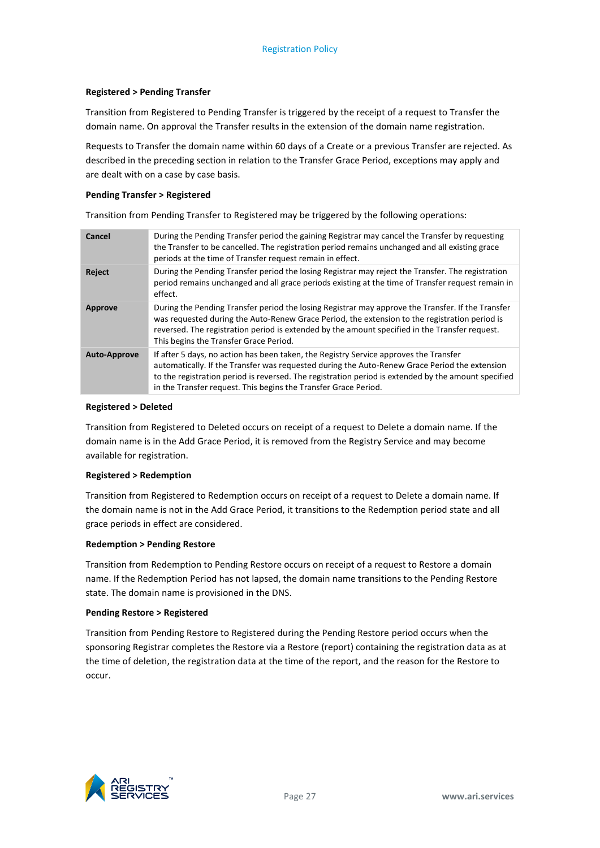#### **Registered > Pending Transfer**

Transition from Registered to Pending Transfer is triggered by the receipt of a request to Transfer the domain name. On approval the Transfer results in the extension of the domain name registration.

Requests to Transfer the domain name within 60 days of a Create or a previous Transfer are rejected. As described in the preceding section in relation to the Transfer Grace Period, exceptions may apply and are dealt with on a case by case basis.

#### **Pending Transfer > Registered**

Transition from Pending Transfer to Registered may be triggered by the following operations:

| Cancel              | During the Pending Transfer period the gaining Registrar may cancel the Transfer by requesting<br>the Transfer to be cancelled. The registration period remains unchanged and all existing grace<br>periods at the time of Transfer request remain in effect.                                                                                                    |
|---------------------|------------------------------------------------------------------------------------------------------------------------------------------------------------------------------------------------------------------------------------------------------------------------------------------------------------------------------------------------------------------|
| Reject              | During the Pending Transfer period the losing Registrar may reject the Transfer. The registration<br>period remains unchanged and all grace periods existing at the time of Transfer request remain in<br>effect.                                                                                                                                                |
| Approve             | During the Pending Transfer period the losing Registrar may approve the Transfer. If the Transfer<br>was requested during the Auto-Renew Grace Period, the extension to the registration period is<br>reversed. The registration period is extended by the amount specified in the Transfer request.<br>This begins the Transfer Grace Period.                   |
| <b>Auto-Approve</b> | If after 5 days, no action has been taken, the Registry Service approves the Transfer<br>automatically. If the Transfer was requested during the Auto-Renew Grace Period the extension<br>to the registration period is reversed. The registration period is extended by the amount specified<br>in the Transfer request. This begins the Transfer Grace Period. |

#### **Registered > Deleted**

Transition from Registered to Deleted occurs on receipt of a request to Delete a domain name. If the domain name is in the Add Grace Period, it is removed from the Registry Service and may become available for registration.

#### **Registered > Redemption**

Transition from Registered to Redemption occurs on receipt of a request to Delete a domain name. If the domain name is not in the Add Grace Period, it transitions to the Redemption period state and all grace periods in effect are considered.

#### **Redemption > Pending Restore**

Transition from Redemption to Pending Restore occurs on receipt of a request to Restore a domain name. If the Redemption Period has not lapsed, the domain name transitions to the Pending Restore state. The domain name is provisioned in the DNS.

#### **Pending Restore > Registered**

Transition from Pending Restore to Registered during the Pending Restore period occurs when the sponsoring Registrar completes the Restore via a Restore (report) containing the registration data as at the time of deletion, the registration data at the time of the report, and the reason for the Restore to occur.

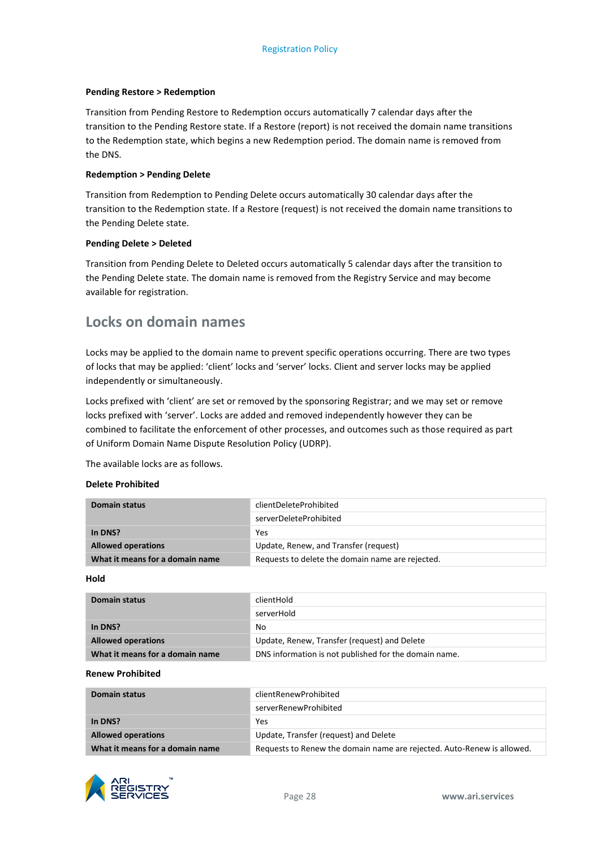#### **Pending Restore > Redemption**

Transition from Pending Restore to Redemption occurs automatically 7 calendar days after the transition to the Pending Restore state. If a Restore (report) is not received the domain name transitions to the Redemption state, which begins a new Redemption period. The domain name is removed from the DNS.

#### **Redemption > Pending Delete**

Transition from Redemption to Pending Delete occurs automatically 30 calendar days after the transition to the Redemption state. If a Restore (request) is not received the domain name transitions to the Pending Delete state.

#### **Pending Delete > Deleted**

Transition from Pending Delete to Deleted occurs automatically 5 calendar days after the transition to the Pending Delete state. The domain name is removed from the Registry Service and may become available for registration.

# **Locks on domain names**

Locks may be applied to the domain name to prevent specific operations occurring. There are two types of locks that may be applied: 'client' locks and 'server' locks. Client and server locks may be applied independently or simultaneously.

Locks prefixed with 'client' are set or removed by the sponsoring Registrar; and we may set or remove locks prefixed with 'server'. Locks are added and removed independently however they can be combined to facilitate the enforcement of other processes, and outcomes such as those required as part of Uniform Domain Name Dispute Resolution Policy (UDRP).

The available locks are as follows.

#### **Delete Prohibited**

| Domain status                   | clientDeleteProhibited                           |  |
|---------------------------------|--------------------------------------------------|--|
|                                 | serverDeleteProhibited                           |  |
| In DNS?                         | Yes                                              |  |
| <b>Allowed operations</b>       | Update, Renew, and Transfer (request)            |  |
| What it means for a domain name | Requests to delete the domain name are rejected. |  |

**Hold**

| Domain status                   | clientHold                                            |  |
|---------------------------------|-------------------------------------------------------|--|
|                                 | serverHold                                            |  |
| In DNS?                         | No                                                    |  |
| <b>Allowed operations</b>       | Update, Renew, Transfer (request) and Delete          |  |
| What it means for a domain name | DNS information is not published for the domain name. |  |

#### **Renew Prohibited**

| <b>Domain status</b>            | clientRenewProhibited                                                  |  |
|---------------------------------|------------------------------------------------------------------------|--|
|                                 | serverRenewProhibited                                                  |  |
| In DNS?                         | Yes                                                                    |  |
| <b>Allowed operations</b>       | Update, Transfer (request) and Delete                                  |  |
| What it means for a domain name | Requests to Renew the domain name are rejected. Auto-Renew is allowed. |  |

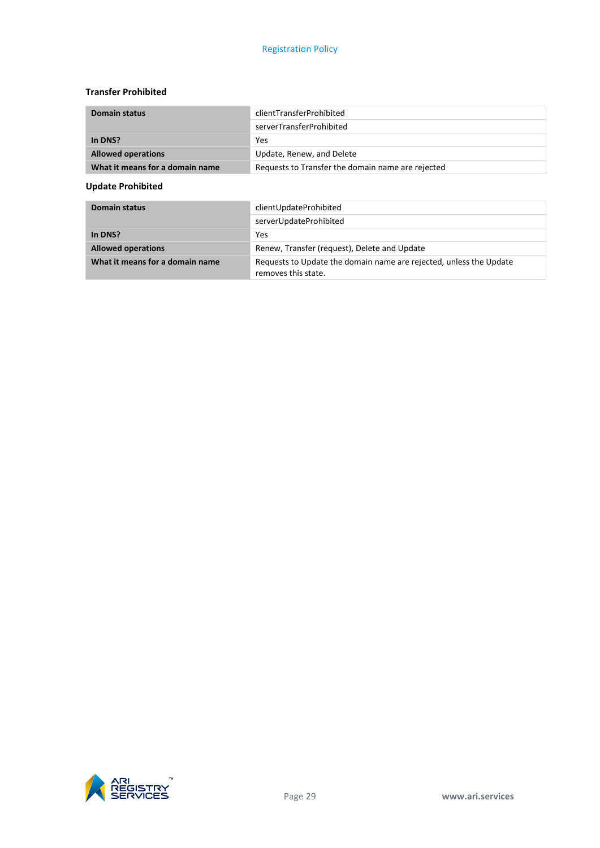#### **Transfer Prohibited**

| <b>Domain status</b>            | clientTransferProhibited                          |  |
|---------------------------------|---------------------------------------------------|--|
|                                 | serverTransferProhibited                          |  |
| In DNS?                         | Yes                                               |  |
| <b>Allowed operations</b>       | Update, Renew, and Delete                         |  |
| What it means for a domain name | Requests to Transfer the domain name are rejected |  |

#### **Update Prohibited**

| <b>Domain status</b>            | clientUpdateProhibited                                                                    |
|---------------------------------|-------------------------------------------------------------------------------------------|
|                                 | serverUpdateProhibited                                                                    |
| In DNS?                         | Yes                                                                                       |
| <b>Allowed operations</b>       | Renew, Transfer (request), Delete and Update                                              |
| What it means for a domain name | Requests to Update the domain name are rejected, unless the Update<br>removes this state. |

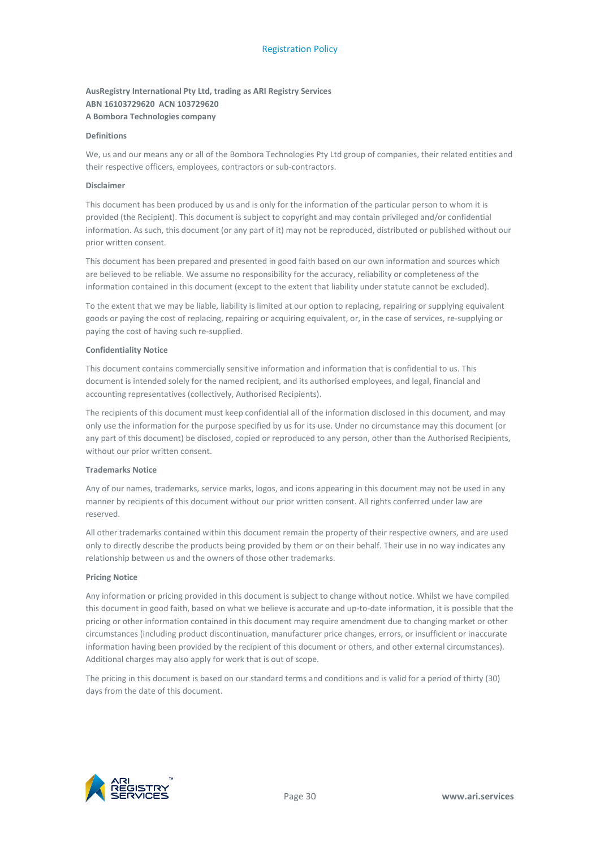#### **AusRegistry International Pty Ltd, trading as ARI Registry Services ABN 16103729620 ACN 103729620 A Bombora Technologies company**

#### **Definitions**

We, us and our means any or all of the Bombora Technologies Pty Ltd group of companies, their related entities and their respective officers, employees, contractors or sub-contractors.

#### **Disclaimer**

This document has been produced by us and is only for the information of the particular person to whom it is provided (the Recipient). This document is subject to copyright and may contain privileged and/or confidential information. As such, this document (or any part of it) may not be reproduced, distributed or published without our prior written consent.

This document has been prepared and presented in good faith based on our own information and sources which are believed to be reliable. We assume no responsibility for the accuracy, reliability or completeness of the information contained in this document (except to the extent that liability under statute cannot be excluded).

To the extent that we may be liable, liability is limited at our option to replacing, repairing or supplying equivalent goods or paying the cost of replacing, repairing or acquiring equivalent, or, in the case of services, re-supplying or paying the cost of having such re-supplied.

#### **Confidentiality Notice**

This document contains commercially sensitive information and information that is confidential to us. This document is intended solely for the named recipient, and its authorised employees, and legal, financial and accounting representatives (collectively, Authorised Recipients).

The recipients of this document must keep confidential all of the information disclosed in this document, and may only use the information for the purpose specified by us for its use. Under no circumstance may this document (or any part of this document) be disclosed, copied or reproduced to any person, other than the Authorised Recipients, without our prior written consent.

#### **Trademarks Notice**

Any of our names, trademarks, service marks, logos, and icons appearing in this document may not be used in any manner by recipients of this document without our prior written consent. All rights conferred under law are reserved.

All other trademarks contained within this document remain the property of their respective owners, and are used only to directly describe the products being provided by them or on their behalf. Their use in no way indicates any relationship between us and the owners of those other trademarks.

#### **Pricing Notice**

Any information or pricing provided in this document is subject to change without notice. Whilst we have compiled this document in good faith, based on what we believe is accurate and up-to-date information, it is possible that the pricing or other information contained in this document may require amendment due to changing market or other circumstances (including product discontinuation, manufacturer price changes, errors, or insufficient or inaccurate information having been provided by the recipient of this document or others, and other external circumstances). Additional charges may also apply for work that is out of scope.

The pricing in this document is based on our standard terms and conditions and is valid for a period of thirty (30) days from the date of this document.